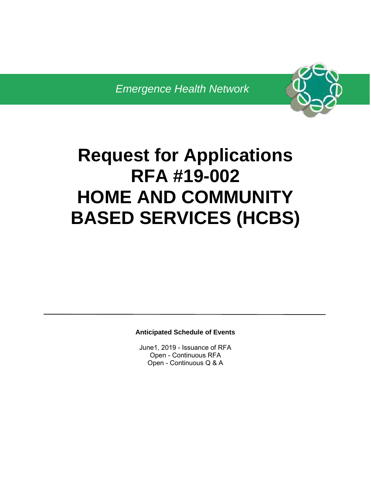

# **Request for Applications RFA #19-002 HOME AND COMMUNITY BASED SERVICES (HCBS)**

**Anticipated Schedule of Events** 

June1, 2019 - Issuance of RFA Open - Continuous RFA Open - Continuous Q & A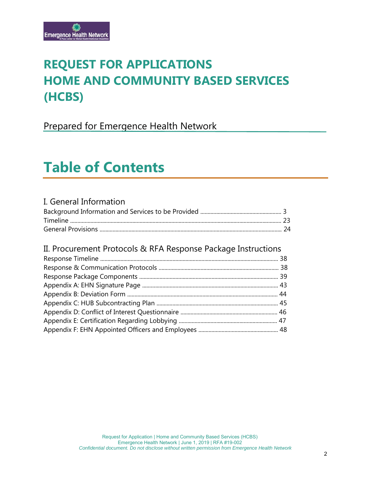# **REQUEST FOR APPLICATIONS HOME AND COMMUNITY BASED SERVICES (HCBS)**

Prepared for Emergence Health Network

# **Table of Contents**

### I. General Information

### II. Procurement Protocols & RFA Response Package Instructions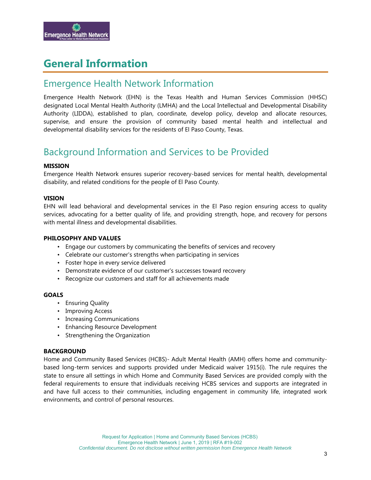

# **General Information**

## Emergence Health Network Information

Emergence Health Network (EHN) is the Texas Health and Human Services Commission (HHSC) designated Local Mental Health Authority (LMHA) and the Local Intellectual and Developmental Disability Authority (LIDDA), established to plan, coordinate, develop policy, develop and allocate resources, supervise, and ensure the provision of community based mental health and intellectual and developmental disability services for the residents of El Paso County, Texas.

# Background Information and Services to be Provided

#### **MISSION**

Emergence Health Network ensures superior recovery-based services for mental health, developmental disability, and related conditions for the people of El Paso County.

#### **VISION**

EHN will lead behavioral and developmental services in the El Paso region ensuring access to quality services, advocating for a better quality of life, and providing strength, hope, and recovery for persons with mental illness and developmental disabilities.

#### **PHILOSOPHY AND VALUES**

- Engage our customers by communicating the benefits of services and recovery
- Celebrate our customer's strengths when participating in services
- Foster hope in every service delivered
- Demonstrate evidence of our customer's successes toward recovery
- Recognize our customers and staff for all achievements made

#### **GOALS**

- Ensuring Quality
- Improving Access
- Increasing Communications
- Enhancing Resource Development
- Strengthening the Organization

#### **BACKGROUND**

Home and Community Based Services (HCBS)- Adult Mental Health (AMH) offers home and communitybased long-term services and supports provided under Medicaid waiver 1915(i). The rule requires the state to ensure all settings in which Home and Community Based Services are provided comply with the federal requirements to ensure that individuals receiving HCBS services and supports are integrated in and have full access to their communities, including engagement in community life, integrated work environments, and control of personal resources.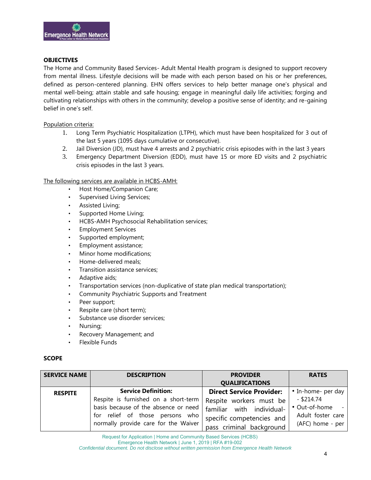

#### **OBJECTIVES**

The Home and Community Based Services- Adult Mental Health program is designed to support recovery from mental illness. Lifestyle decisions will be made with each person based on his or her preferences, defined as person-centered planning. EHN offers services to help better manage one's physical and mental well-being; attain stable and safe housing; engage in meaningful daily life activities; forging and cultivating relationships with others in the community; develop a positive sense of identity; and re-gaining belief in one's self.

#### Population criteria:

- 1. Long Term Psychiatric Hospitalization (LTPH), which must have been hospitalized for 3 out of the last 5 years (1095 days cumulative or consecutive).
- 2. Jail Diversion (JD), must have 4 arrests and 2 psychiatric crisis episodes with in the last 3 years
- 3. Emergency Department Diversion (EDD), must have 15 or more ED visits and 2 psychiatric crisis episodes in the last 3 years.

#### The following services are available in HCBS-AMH:

- Host Home/Companion Care;
- Supervised Living Services;
- Assisted Living;
- Supported Home Living;
- HCBS-AMH Psychosocial Rehabilitation services;
- Employment Services
- Supported employment;
- Employment assistance;
- Minor home modifications;
- Home-delivered meals;
- Transition assistance services;
- Adaptive aids:
- Transportation services (non-duplicative of state plan medical transportation);
- Community Psychiatric Supports and Treatment
- Peer support;
- Respite care (short term);
- Substance use disorder services;
- Nursing;
- Recovery Management; and
- Flexible Funds

#### **SCOPE**

| <b>SERVICE NAME</b> | <b>DESCRIPTION</b>                   | <b>PROVIDER</b><br><b>QUALIFICATIONS</b> | <b>RATES</b>       |
|---------------------|--------------------------------------|------------------------------------------|--------------------|
| <b>RESPITE</b>      | <b>Service Definition:</b>           | <b>Direct Service Provider:</b>          | • In-home- per day |
|                     | Respite is furnished on a short-term | Respite workers must be                  | $-$ \$214.74       |
|                     | basis because of the absence or need | familiar with individual-                | • Out-of-home -    |
|                     | for relief of those persons who      | specific competencies and                | Adult foster care  |
|                     | normally provide care for the Waiver | pass criminal background                 | (AFC) home - per   |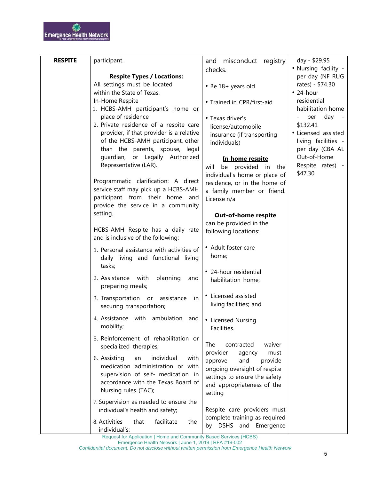| <b>RESPITE</b> | participant.                                                                  | and misconduct registry                          | day - \$29.95                    |
|----------------|-------------------------------------------------------------------------------|--------------------------------------------------|----------------------------------|
|                |                                                                               | checks.                                          | • Nursing facility -             |
|                | <b>Respite Types / Locations:</b>                                             |                                                  | per day (NF RUG                  |
|                | All settings must be located                                                  | • Be 18+ years old                               | rates) - \$74.30                 |
|                | within the State of Texas.                                                    |                                                  | $\cdot$ 24-hour                  |
|                | In-Home Respite                                                               | • Trained in CPR/first-aid                       | residential<br>habilitation home |
|                | 1. HCBS-AMH participant's home or<br>place of residence                       |                                                  | day                              |
|                | 2. Private residence of a respite care                                        | • Texas driver's                                 | per<br>\$132.41                  |
|                | provider, if that provider is a relative                                      | license/automobile<br>insurance (if transporting | • Licensed assisted              |
|                | of the HCBS-AMH participant, other                                            | individuals)                                     | living facilities -              |
|                | than the parents, spouse, legal                                               |                                                  | per day (CBA AL                  |
|                | guardian, or Legally Authorized                                               | In-home respite                                  | Out-of-Home                      |
|                | Representative (LAR).                                                         | be provided in<br>will<br>the                    | Respite rates) -                 |
|                |                                                                               | individual's home or place of                    | \$47.30                          |
|                | Programmatic clarification: A direct                                          | residence, or in the home of                     |                                  |
|                | service staff may pick up a HCBS-AMH                                          | a family member or friend.                       |                                  |
|                | participant from their home and                                               | License n/a                                      |                                  |
|                | provide the service in a community                                            |                                                  |                                  |
|                | setting.                                                                      | <b>Out-of-home respite</b>                       |                                  |
|                | HCBS-AMH Respite has a daily rate                                             | can be provided in the                           |                                  |
|                | and is inclusive of the following:                                            | following locations:                             |                                  |
|                | 1. Personal assistance with activities of                                     | • Adult foster care                              |                                  |
|                | daily living and functional living                                            | home;                                            |                                  |
|                | tasks;                                                                        |                                                  |                                  |
|                |                                                                               | • 24-hour residential                            |                                  |
|                | 2. Assistance with<br>planning<br>and                                         | habilitation home;                               |                                  |
|                | preparing meals;                                                              |                                                  |                                  |
|                | 3. Transportation or assistance<br>in                                         | • Licensed assisted                              |                                  |
|                | securing transportation;                                                      | living facilities; and                           |                                  |
|                | 4. Assistance with ambulation and                                             | • Licensed Nursing                               |                                  |
|                | mobility;                                                                     | Facilities.                                      |                                  |
|                | 5. Reinforcement of rehabilitation or                                         |                                                  |                                  |
|                | specialized therapies;                                                        | The<br>contracted<br>waiver                      |                                  |
|                |                                                                               | provider<br>agency<br>must                       |                                  |
|                | individual<br>6. Assisting<br>an<br>with<br>medication administration or with | approve<br>and<br>provide                        |                                  |
|                | supervision of self- medication in                                            | ongoing oversight of respite                     |                                  |
|                | accordance with the Texas Board of                                            | settings to ensure the safety                    |                                  |
|                | Nursing rules (TAC);                                                          | and appropriateness of the                       |                                  |
|                |                                                                               | setting                                          |                                  |
|                | 7. Supervision as needed to ensure the<br>individual's health and safety;     | Respite care providers must                      |                                  |
|                |                                                                               | complete training as required                    |                                  |
|                | 8. Activities<br>that<br>facilitate<br>the                                    | by DSHS and Emergence                            |                                  |
|                | individual's:                                                                 |                                                  |                                  |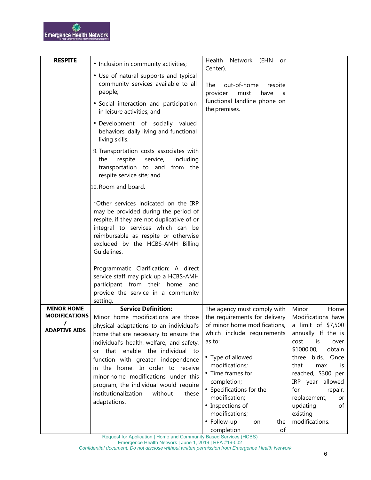| <b>RESPITE</b>            | • Inclusion in community activities;                                                                                                                                                                                                                                                                                             | Health<br>Network (EHN<br>or                                                                                                                    |                                                                                                                                                                                      |
|---------------------------|----------------------------------------------------------------------------------------------------------------------------------------------------------------------------------------------------------------------------------------------------------------------------------------------------------------------------------|-------------------------------------------------------------------------------------------------------------------------------------------------|--------------------------------------------------------------------------------------------------------------------------------------------------------------------------------------|
|                           | • Use of natural supports and typical<br>community services available to all<br>people;                                                                                                                                                                                                                                          | Center).<br>The<br>out-of-home<br>respite<br>provider<br>must<br>have<br>a                                                                      |                                                                                                                                                                                      |
|                           | · Social interaction and participation<br>in leisure activities; and                                                                                                                                                                                                                                                             | functional landline phone on<br>the premises.                                                                                                   |                                                                                                                                                                                      |
|                           | · Development of socially valued<br>behaviors, daily living and functional<br>living skills.                                                                                                                                                                                                                                     |                                                                                                                                                 |                                                                                                                                                                                      |
|                           | 9. Transportation costs associates with<br>respite<br>service,<br>including<br>the<br>transportation to and<br>from the<br>respite service site; and                                                                                                                                                                             |                                                                                                                                                 |                                                                                                                                                                                      |
|                           | 10. Room and board.                                                                                                                                                                                                                                                                                                              |                                                                                                                                                 |                                                                                                                                                                                      |
|                           | *Other services indicated on the IRP<br>may be provided during the period of<br>respite, if they are not duplicative of or<br>integral to services which can be<br>reimbursable as respite or otherwise<br>excluded by the HCBS-AMH Billing<br>Guidelines.                                                                       |                                                                                                                                                 |                                                                                                                                                                                      |
|                           | Programmatic Clarification: A direct<br>service staff may pick up a HCBS-AMH<br>participant from their home and<br>provide the service in a community<br>setting.                                                                                                                                                                |                                                                                                                                                 |                                                                                                                                                                                      |
| <b>MINOR HOME</b>         | <b>Service Definition:</b>                                                                                                                                                                                                                                                                                                       | The agency must comply with                                                                                                                     | Minor<br>Home                                                                                                                                                                        |
| <b>MODIFICATIONS</b>      | Minor home modifications are those                                                                                                                                                                                                                                                                                               | the requirements for delivery                                                                                                                   | Modifications have                                                                                                                                                                   |
| T<br><b>ADAPTIVE AIDS</b> | physical adaptations to an individual's  <br>home that are necessary to ensure the<br>individual's health, welfare, and safety,<br>that enable the individual to<br>or<br>function with greater independence<br>in the home. In order to receive<br>minor home modifications under this<br>program, the individual would require | of minor home modifications,<br>which include requirements<br>as to:<br>• Type of allowed<br>modifications;<br>• Time frames for<br>completion; | a limit of \$7,500<br>annually. If the is<br>cost<br>$-$ is<br>over<br>\$1000.00,<br>obtain<br>three<br>bids.<br>Once<br>that<br>max<br>is<br>reached, \$300 per<br>IRP year allowed |
|                           | institutionalization<br>without<br>these<br>adaptations.                                                                                                                                                                                                                                                                         | • Specifications for the<br>modification;<br>• Inspections of<br>modifications;<br>• Follow-up<br>the<br>on<br>completion<br>of                 | for<br>repair,<br>replacement,<br>or<br>updating<br>of<br>existing<br>modifications.                                                                                                 |

Request for Application | Home and Community Based Services (HCBS)

Emergence Health Network | June 1, 2019 | RFA #19-002

*Confidential document. Do not disclose without written permission from Emergence Health Network*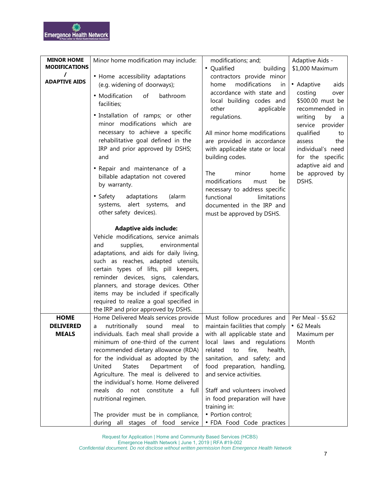| <b>MINOR HOME</b><br><b>MODIFICATIONS</b> | Minor home modification may include:                                                                                                                                                                                                                                                                                                                                                                                                             | modifications; and;<br>• Qualified<br>building                                                                                  | Adaptive Aids -<br>\$1,000 Maximum                                                                                    |
|-------------------------------------------|--------------------------------------------------------------------------------------------------------------------------------------------------------------------------------------------------------------------------------------------------------------------------------------------------------------------------------------------------------------------------------------------------------------------------------------------------|---------------------------------------------------------------------------------------------------------------------------------|-----------------------------------------------------------------------------------------------------------------------|
| $\prime$<br><b>ADAPTIVE AIDS</b>          | • Home accessibility adaptations<br>(e.g. widening of doorways);                                                                                                                                                                                                                                                                                                                                                                                 | contractors provide minor<br>modifications<br>home<br>in                                                                        | • Adaptive<br>aids                                                                                                    |
|                                           | • Modification<br>of<br>bathroom<br>facilities;                                                                                                                                                                                                                                                                                                                                                                                                  | accordance with state and<br>local building codes and<br>other<br>applicable                                                    | costing<br>over<br>\$500.00 must be<br>recommended in                                                                 |
|                                           | · Installation of ramps; or other<br>minor modifications which are<br>necessary to achieve a specific<br>rehabilitative goal defined in the<br>IRP and prior approved by DSHS;<br>and                                                                                                                                                                                                                                                            | regulations.<br>All minor home modifications<br>are provided in accordance<br>with applicable state or local<br>building codes. | writing<br>by<br>- a<br>service provider<br>qualified<br>to<br>assess<br>the<br>individual's need<br>for the specific |
|                                           | • Repair and maintenance of a<br>billable adaptation not covered<br>by warranty.                                                                                                                                                                                                                                                                                                                                                                 | The<br>minor<br>home<br>modifications<br>be<br>must<br>necessary to address specific                                            | adaptive aid and<br>be approved by<br>DSHS.                                                                           |
|                                           | • Safety<br>adaptations<br>(alarm<br>systems, alert systems,<br>and<br>other safety devices).                                                                                                                                                                                                                                                                                                                                                    | functional<br>limitations<br>documented in the IRP and<br>must be approved by DSHS.                                             |                                                                                                                       |
|                                           | <b>Adaptive aids include:</b><br>Vehicle modifications, service animals<br>environmental<br>and<br>supplies,<br>adaptations, and aids for daily living,<br>such as reaches, adapted utensils,<br>certain types of lifts, pill keepers,<br>reminder devices, signs, calendars,<br>planners, and storage devices. Other<br>items may be included if specifically<br>required to realize a goal specified in<br>the IRP and prior approved by DSHS. |                                                                                                                                 |                                                                                                                       |
| <b>HOME</b>                               | Home Delivered Meals services provide                                                                                                                                                                                                                                                                                                                                                                                                            | Must follow procedures and   Per Meal - \$5.62                                                                                  |                                                                                                                       |
| <b>DELIVERED</b><br><b>MEALS</b>          | a nutritionally sound meal to   maintain facilities that comply $\cdot$ 62 Meals<br>individuals. Each meal shall provide a                                                                                                                                                                                                                                                                                                                       | with all applicable state and                                                                                                   | Maximum per                                                                                                           |
|                                           | minimum of one-third of the current                                                                                                                                                                                                                                                                                                                                                                                                              | local laws and regulations                                                                                                      | Month                                                                                                                 |
|                                           | recommended dietary allowance (RDA)<br>for the individual as adopted by the                                                                                                                                                                                                                                                                                                                                                                      | related<br>to<br>fire,<br>health,<br>sanitation, and safety; and                                                                |                                                                                                                       |
|                                           | United<br><b>States</b><br>Department<br>οf                                                                                                                                                                                                                                                                                                                                                                                                      | food preparation, handling,                                                                                                     |                                                                                                                       |
|                                           | Agriculture. The meal is delivered to<br>the individual's home. Home delivered                                                                                                                                                                                                                                                                                                                                                                   | and service activities.                                                                                                         |                                                                                                                       |
|                                           | do not constitute a full<br>meals                                                                                                                                                                                                                                                                                                                                                                                                                | Staff and volunteers involved                                                                                                   |                                                                                                                       |
|                                           | nutritional regimen.                                                                                                                                                                                                                                                                                                                                                                                                                             | in food preparation will have                                                                                                   |                                                                                                                       |
|                                           | The provider must be in compliance,                                                                                                                                                                                                                                                                                                                                                                                                              | training in:<br>• Portion control;                                                                                              |                                                                                                                       |
|                                           | during all stages of food service                                                                                                                                                                                                                                                                                                                                                                                                                | • FDA Food Code practices                                                                                                       |                                                                                                                       |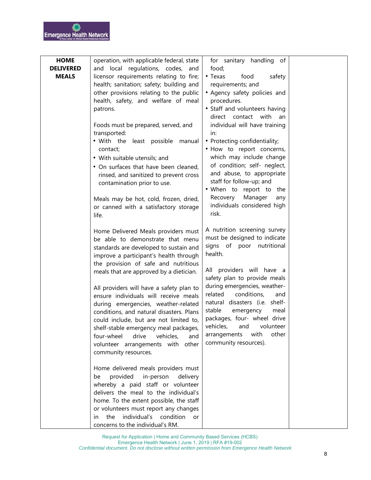| <b>HOME</b>      | operation, with applicable federal, state                       |                                                        |  |
|------------------|-----------------------------------------------------------------|--------------------------------------------------------|--|
| <b>DELIVERED</b> | and local regulations, codes, and                               | for sanitary handling of<br>food;                      |  |
| <b>MEALS</b>     | licensor requirements relating to fire;                         | • Texas<br>food<br>safety                              |  |
|                  | health; sanitation; safety; building and                        | requirements; and                                      |  |
|                  | other provisions relating to the public                         | • Agency safety policies and                           |  |
|                  | health, safety, and welfare of meal                             | procedures.                                            |  |
|                  |                                                                 | • Staff and volunteers having                          |  |
|                  | patrons.                                                        | direct contact with                                    |  |
|                  |                                                                 | an                                                     |  |
|                  | Foods must be prepared, served, and                             | individual will have training                          |  |
|                  | transported:                                                    | in:<br>• Protecting confidentiality;                   |  |
|                  | . With the least possible manual                                |                                                        |  |
|                  | contact;                                                        | . How to report concerns,                              |  |
|                  | • With suitable utensils; and                                   | which may include change                               |  |
|                  | • On surfaces that have been cleaned,                           | of condition; self- neglect,                           |  |
|                  | rinsed, and sanitized to prevent cross                          | and abuse, to appropriate                              |  |
|                  | contamination prior to use.                                     | staff for follow-up; and<br>. When to report to<br>the |  |
|                  |                                                                 | Recovery<br>Manager<br>any                             |  |
|                  | Meals may be hot, cold, frozen, dried,                          | individuals considered high                            |  |
|                  | or canned with a satisfactory storage                           | risk.                                                  |  |
|                  | life.                                                           |                                                        |  |
|                  | Home Delivered Meals providers must                             | A nutrition screening survey                           |  |
|                  | be able to demonstrate that menu                                | must be designed to indicate                           |  |
|                  | standards are developed to sustain and                          | signs of poor<br>nutritional                           |  |
|                  | improve a participant's health through                          | health.                                                |  |
|                  | the provision of safe and nutritious                            |                                                        |  |
|                  | meals that are approved by a dietician.                         | All providers will have a                              |  |
|                  |                                                                 | safety plan to provide meals                           |  |
|                  | All providers will have a safety plan to                        | during emergencies, weather-                           |  |
|                  | ensure individuals will receive meals                           | related<br>conditions,<br>and                          |  |
|                  | during emergencies, weather-related                             | natural disasters (i.e. shelf-                         |  |
|                  | conditions, and natural disasters. Plans                        | stable<br>emergency<br>meal                            |  |
|                  | could include, but are not limited to,                          | packages, four- wheel drive                            |  |
|                  | shelf-stable emergency meal packages,                           | vehicles, and volunteer                                |  |
|                  | four-wheel<br>drive<br>vehicles,<br>and                         | with<br>other<br>arrangements                          |  |
|                  | volunteer arrangements with other                               | community resources).                                  |  |
|                  | community resources.                                            |                                                        |  |
|                  |                                                                 |                                                        |  |
|                  | Home delivered meals providers must                             |                                                        |  |
|                  | provided<br>in-person<br>delivery<br>be                         |                                                        |  |
|                  | whereby a paid staff or volunteer                               |                                                        |  |
|                  | delivers the meal to the individual's                           |                                                        |  |
|                  | home. To the extent possible, the staff                         |                                                        |  |
|                  | or volunteers must report any changes<br>individual's condition |                                                        |  |
|                  | the<br><b>or</b><br>in.                                         |                                                        |  |
|                  | concerns to the individual's RM.                                |                                                        |  |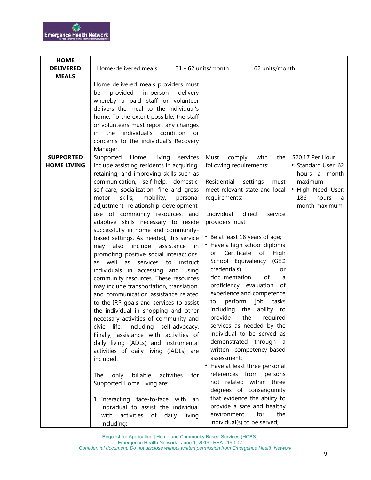| <b>HOME</b>                      |                                                                                 |                                                        |                              |
|----------------------------------|---------------------------------------------------------------------------------|--------------------------------------------------------|------------------------------|
| <b>DELIVERED</b><br><b>MEALS</b> | Home-delivered meals                                                            | 31 - 62 units/month<br>62 units/month                  |                              |
|                                  | Home delivered meals providers must                                             |                                                        |                              |
|                                  | provided<br>in-person<br>delivery<br>be                                         |                                                        |                              |
|                                  | whereby a paid staff or volunteer                                               |                                                        |                              |
|                                  | delivers the meal to the individual's                                           |                                                        |                              |
|                                  | home. To the extent possible, the staff                                         |                                                        |                              |
|                                  | or volunteers must report any changes                                           |                                                        |                              |
|                                  | individual's condition<br>the<br><b>or</b><br>in.                               |                                                        |                              |
|                                  | concerns to the individual's Recovery                                           |                                                        |                              |
|                                  | Manager.                                                                        |                                                        |                              |
| <b>SUPPORTED</b>                 | Supported<br>Home<br>Living<br>services                                         | Must<br>with<br>comply<br>the                          | \$20.17 Per Hour             |
| <b>HOME LIVING</b>               | include assisting residents in acquiring,                                       | following requirements:                                | • Standard User: 62          |
|                                  | retaining, and improving skills such as                                         | Residential                                            | hours a month                |
|                                  | communication, self-help, domestic,<br>self-care, socialization, fine and gross | settings<br>must<br>meet relevant state and local      | maximum<br>• High Need User: |
|                                  | skills,<br>mobility,<br>motor<br>personal                                       | requirements;                                          | 186<br>hours<br>- a          |
|                                  | adjustment, relationship development,                                           |                                                        | month maximum                |
|                                  | use of community resources, and                                                 | Individual<br>direct<br>service                        |                              |
|                                  | adaptive skills necessary to reside                                             | providers must:                                        |                              |
|                                  | successfully in home and community-                                             |                                                        |                              |
|                                  | based settings. As needed, this service                                         | • Be at least 18 years of age;                         |                              |
|                                  | include<br>assistance<br>may<br>also<br>in.                                     | • Have a high school diploma                           |                              |
|                                  | promoting positive social interactions,                                         | Certificate<br>of<br>High<br>or                        |                              |
|                                  | well<br>services<br>as<br>instruct<br>as<br>to                                  | School Equivalency<br>(GED                             |                              |
|                                  | individuals in accessing and using                                              | credentials)<br>or                                     |                              |
|                                  | community resources. These resources                                            | documentation<br>of<br>a                               |                              |
|                                  | may include transportation, translation,                                        | proficiency evaluation<br>of                           |                              |
|                                  | and communication assistance related                                            | experience and competence                              |                              |
|                                  | to the IRP goals and services to assist                                         | perform<br>job<br>tasks<br>to                          |                              |
|                                  | the individual in shopping and other                                            | including the ability to<br>provide<br>the<br>required |                              |
|                                  | necessary activities of community and                                           | services as needed by the                              |                              |
|                                  | civic life, including self-advocacy.<br>Finally, assistance with activities of  | individual to be served as                             |                              |
|                                  | daily living (ADLs) and instrumental                                            | demonstrated through a                                 |                              |
|                                  | activities of daily living (IADLs) are                                          | written competency-based                               |                              |
|                                  | included.                                                                       | assessment;                                            |                              |
|                                  |                                                                                 | • Have at least three personal                         |                              |
|                                  | billable<br>activities<br>The<br>only<br>for                                    | references from persons                                |                              |
|                                  | Supported Home Living are:                                                      | not related within three                               |                              |
|                                  |                                                                                 | degrees of consanguinity                               |                              |
|                                  | 1. Interacting face-to-face with an                                             | that evidence the ability to                           |                              |
|                                  | individual to assist the individual                                             | provide a safe and healthy                             |                              |
|                                  | activities of daily living<br>with                                              | environment<br>for<br>the                              |                              |
|                                  | including:                                                                      | individual(s) to be served;                            |                              |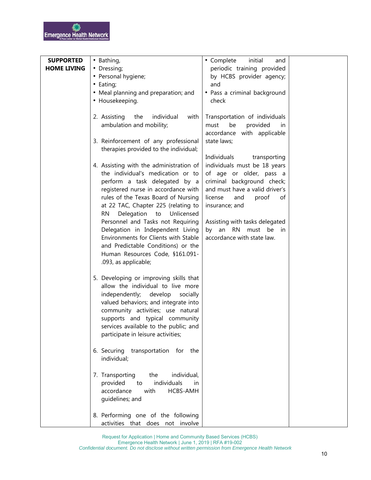| <b>SUPPORTED</b>   | • Bathing,                                                                                                                                                                                                                                                                                                                                                                                                                                                                                   | • Complete<br>initial<br>and                                                                                                                                                                                                                                                                                     |  |
|--------------------|----------------------------------------------------------------------------------------------------------------------------------------------------------------------------------------------------------------------------------------------------------------------------------------------------------------------------------------------------------------------------------------------------------------------------------------------------------------------------------------------|------------------------------------------------------------------------------------------------------------------------------------------------------------------------------------------------------------------------------------------------------------------------------------------------------------------|--|
| <b>HOME LIVING</b> | • Dressing;                                                                                                                                                                                                                                                                                                                                                                                                                                                                                  | periodic training provided                                                                                                                                                                                                                                                                                       |  |
|                    | • Personal hygiene;                                                                                                                                                                                                                                                                                                                                                                                                                                                                          | by HCBS provider agency;                                                                                                                                                                                                                                                                                         |  |
|                    | • Eating;                                                                                                                                                                                                                                                                                                                                                                                                                                                                                    | and                                                                                                                                                                                                                                                                                                              |  |
|                    | • Meal planning and preparation; and                                                                                                                                                                                                                                                                                                                                                                                                                                                         | • Pass a criminal background                                                                                                                                                                                                                                                                                     |  |
|                    | • Housekeeping.                                                                                                                                                                                                                                                                                                                                                                                                                                                                              | check                                                                                                                                                                                                                                                                                                            |  |
|                    | individual<br>2. Assisting<br>the<br>with<br>ambulation and mobility;                                                                                                                                                                                                                                                                                                                                                                                                                        | Transportation of individuals<br>must<br>be<br>provided<br>in.<br>accordance with applicable                                                                                                                                                                                                                     |  |
|                    | 3. Reinforcement of any professional<br>therapies provided to the individual;                                                                                                                                                                                                                                                                                                                                                                                                                | state laws;                                                                                                                                                                                                                                                                                                      |  |
|                    | 4. Assisting with the administration of<br>the individual's medication or to<br>perform a task delegated by a<br>registered nurse in accordance with<br>rules of the Texas Board of Nursing<br>at 22 TAC, Chapter 225 (relating to<br>Delegation<br>Unlicensed<br>RN<br>to<br>Personnel and Tasks not Requiring<br>Delegation in Independent Living<br>Environments for Clients with Stable<br>and Predictable Conditions) or the<br>Human Resources Code, §161.091-<br>.093, as applicable; | Individuals<br>transporting<br>individuals must be 18 years<br>of age or older, pass a<br>criminal background check;<br>and must have a valid driver's<br>license<br>proof<br>and<br>οf<br>insurance; and<br>Assisting with tasks delegated<br>by an<br><b>RN</b><br>must be<br>in<br>accordance with state law. |  |
|                    | 5. Developing or improving skills that<br>allow the individual to live more<br>independently; develop socially<br>valued behaviors; and integrate into<br>community activities; use natural<br>supports and typical community<br>services available to the public; and<br>participate in leisure activities;                                                                                                                                                                                 |                                                                                                                                                                                                                                                                                                                  |  |
|                    | 6. Securing<br>transportation for the<br>individual;                                                                                                                                                                                                                                                                                                                                                                                                                                         |                                                                                                                                                                                                                                                                                                                  |  |
|                    | individual,<br>7. Transporting<br>the<br>individuals<br>provided<br>to<br>in<br>accordance<br>HCBS-AMH<br>with<br>guidelines; and                                                                                                                                                                                                                                                                                                                                                            |                                                                                                                                                                                                                                                                                                                  |  |
|                    | 8. Performing one of the following<br>activities that does not involve                                                                                                                                                                                                                                                                                                                                                                                                                       |                                                                                                                                                                                                                                                                                                                  |  |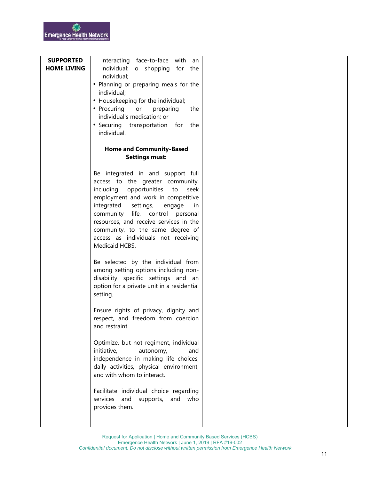| <b>SUPPORTED</b>   | interacting face-to-face with<br>an                                   |  |
|--------------------|-----------------------------------------------------------------------|--|
| <b>HOME LIVING</b> | individual: o shopping<br>for the                                     |  |
|                    | individual;                                                           |  |
|                    | • Planning or preparing meals for the                                 |  |
|                    | individual;                                                           |  |
|                    | • Housekeeping for the individual;                                    |  |
|                    | • Procuring or<br>preparing<br>the<br>individual's medication; or     |  |
|                    | • Securing transportation<br>for<br>the                               |  |
|                    | individual.                                                           |  |
|                    | <b>Home and Community-Based</b>                                       |  |
|                    | <b>Settings must:</b>                                                 |  |
|                    |                                                                       |  |
|                    | Be integrated in and support full<br>access to the greater community, |  |
|                    | including<br>opportunities<br>to<br>seek                              |  |
|                    | employment and work in competitive                                    |  |
|                    | integrated<br>settings,<br>engage<br>in.                              |  |
|                    | life, control personal<br>community                                   |  |
|                    | resources, and receive services in the                                |  |
|                    | community, to the same degree of                                      |  |
|                    | access as individuals not receiving<br>Medicaid HCBS.                 |  |
|                    |                                                                       |  |
|                    | Be selected by the individual from                                    |  |
|                    | among setting options including non-                                  |  |
|                    | disability specific settings and an                                   |  |
|                    | option for a private unit in a residential<br>setting.                |  |
|                    |                                                                       |  |
|                    | Ensure rights of privacy, dignity and                                 |  |
|                    | respect, and freedom from coercion                                    |  |
|                    | and restraint.                                                        |  |
|                    | Optimize, but not regiment, individual                                |  |
|                    | initiative,<br>autonomy,<br>and                                       |  |
|                    | independence in making life choices,                                  |  |
|                    | daily activities, physical environment,<br>and with whom to interact. |  |
|                    |                                                                       |  |
|                    | Facilitate individual choice regarding                                |  |
|                    | services<br>and<br>supports,<br>and<br>who                            |  |
|                    | provides them.                                                        |  |
|                    |                                                                       |  |
|                    |                                                                       |  |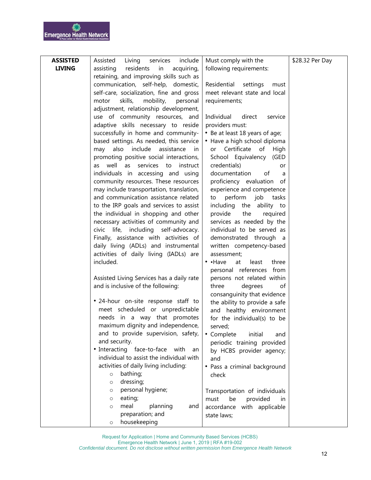| <b>ASSISTED</b> | Assisted<br>include<br>Living services                                          | Must comply with the                                   | \$28.32 Per Day |
|-----------------|---------------------------------------------------------------------------------|--------------------------------------------------------|-----------------|
| <b>LIVING</b>   | assisting<br>residents<br>in<br>acquiring,                                      | following requirements:                                |                 |
|                 | retaining, and improving skills such as                                         |                                                        |                 |
|                 | communication, self-help, domestic,                                             | settings<br>Residential<br>must                        |                 |
|                 | self-care, socialization, fine and gross                                        | meet relevant state and local                          |                 |
|                 | skills,<br>mobility,<br>motor<br>personal                                       | requirements;                                          |                 |
|                 | adjustment, relationship development,                                           |                                                        |                 |
|                 | use of community resources, and                                                 | Individual<br>direct<br>service                        |                 |
|                 | adaptive skills necessary to reside                                             | providers must:                                        |                 |
|                 | successfully in home and community-                                             | • Be at least 18 years of age;                         |                 |
|                 | based settings. As needed, this service<br>include<br>assistance                | • Have a high school diploma<br>or Certificate of      |                 |
|                 | also<br>may<br>in.<br>promoting positive social interactions,                   | High<br>School Equivalency (GED                        |                 |
|                 | well<br>services<br>as<br>instruct<br>to<br>as                                  | credentials)<br>or                                     |                 |
|                 | individuals in accessing and using                                              | documentation<br>οf<br>a                               |                 |
|                 | community resources. These resources                                            | proficiency evaluation of                              |                 |
|                 | may include transportation, translation,                                        | experience and competence                              |                 |
|                 | and communication assistance related                                            | perform<br>job<br>tasks<br>to                          |                 |
|                 | to the IRP goals and services to assist                                         | including<br>the<br>ability to                         |                 |
|                 | the individual in shopping and other                                            | provide<br>the<br>required                             |                 |
|                 | necessary activities of community and                                           | services as needed by the                              |                 |
|                 | civic life, including self-advocacy.                                            | individual to be served as                             |                 |
|                 | Finally, assistance with activities of                                          | demonstrated through a                                 |                 |
|                 | daily living (ADLs) and instrumental                                            | written competency-based                               |                 |
|                 | activities of daily living (IADLs) are                                          | assessment;                                            |                 |
|                 | included.                                                                       | $\cdot$ $\cdot$ Have<br>least<br>three<br>at           |                 |
|                 |                                                                                 | personal references from<br>persons not related within |                 |
|                 | Assisted Living Services has a daily rate<br>and is inclusive of the following: | three<br>degrees<br>of                                 |                 |
|                 |                                                                                 | consanguinity that evidence                            |                 |
|                 | • 24-hour on-site response staff to                                             | the ability to provide a safe                          |                 |
|                 | meet scheduled or unpredictable                                                 | and healthy environment                                |                 |
|                 | needs in a way that promotes                                                    | for the individual(s) to be                            |                 |
|                 | maximum dignity and independence,                                               | served;                                                |                 |
|                 | and to provide supervision, safety,                                             | • Complete<br>initial<br>and                           |                 |
|                 | and security.                                                                   | periodic training provided                             |                 |
|                 | • Interacting face-to-face with<br>an                                           | by HCBS provider agency;                               |                 |
|                 | individual to assist the individual with                                        | and                                                    |                 |
|                 | activities of daily living including:                                           | • Pass a criminal background                           |                 |
|                 | bathing;<br>$\circ$                                                             | check                                                  |                 |
|                 | dressing;<br>$\circ$<br>personal hygiene;                                       |                                                        |                 |
|                 | $\circ$<br>eating;<br>$\circ$                                                   | Transportation of individuals<br>be<br>must            |                 |
|                 | planning<br>meal<br>and<br>$\circ$                                              | provided<br>in<br>accordance with applicable           |                 |
|                 | preparation; and                                                                | state laws;                                            |                 |
|                 | housekeeping<br>$\circ$                                                         |                                                        |                 |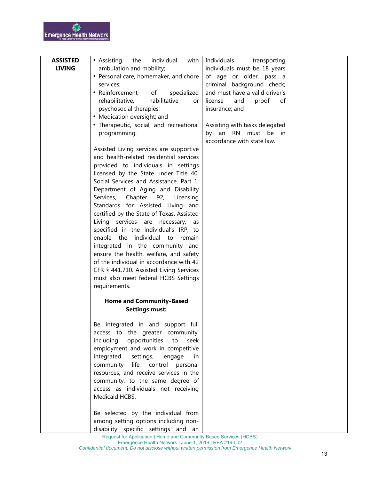| <b>ASSISTED</b> | • Assisting<br>individual<br>with<br>the  | Individuals<br>transporting    |  |
|-----------------|-------------------------------------------|--------------------------------|--|
| <b>LIVING</b>   | ambulation and mobility;                  | individuals must be 18 years   |  |
|                 | • Personal care, homemaker, and chore     | of age or older, pass a        |  |
|                 | services;                                 | criminal background check;     |  |
|                 | • Reinforcement<br>of<br>specialized      | and must have a valid driver's |  |
|                 | rehabilitative,<br>habilitative<br>or     | license<br>proof<br>and<br>οf  |  |
|                 | psychosocial therapies;                   | insurance; and                 |  |
|                 | • Medication oversight; and               |                                |  |
|                 | • Therapeutic, social, and recreational   | Assisting with tasks delegated |  |
|                 | programming.                              | by an RN must be in            |  |
|                 |                                           | accordance with state law.     |  |
|                 | Assisted Living services are supportive   |                                |  |
|                 | and health-related residential services   |                                |  |
|                 | provided to individuals in settings       |                                |  |
|                 | licensed by the State under Title 40,     |                                |  |
|                 | Social Services and Assistance, Part 1,   |                                |  |
|                 | Department of Aging and Disability        |                                |  |
|                 | Services, Chapter 92,<br>Licensing        |                                |  |
|                 | Standards for Assisted Living and         |                                |  |
|                 | certified by the State of Texas. Assisted |                                |  |
|                 | Living services are necessary, as         |                                |  |
|                 | specified in the individual's IRP, to     |                                |  |
|                 | enable the individual<br>to<br>remain     |                                |  |
|                 | integrated in the community and           |                                |  |
|                 | ensure the health, welfare, and safety    |                                |  |
|                 | of the individual in accordance with 42   |                                |  |
|                 | CFR § 441.710. Assisted Living Services   |                                |  |
|                 | must also meet federal HCBS Settings      |                                |  |
|                 | requirements.                             |                                |  |
|                 | <b>Home and Community-Based</b>           |                                |  |
|                 | <b>Settings must:</b>                     |                                |  |
|                 |                                           |                                |  |
|                 | Be integrated in and support full         |                                |  |
|                 | access to the greater community,          |                                |  |
|                 | opportunities<br>including<br>to<br>seek  |                                |  |
|                 | employment and work in competitive        |                                |  |
|                 | integrated<br>settings,<br>engage<br>in   |                                |  |
|                 | community life, control personal          |                                |  |
|                 | resources, and receive services in the    |                                |  |
|                 | community, to the same degree of          |                                |  |
|                 | access as individuals not receiving       |                                |  |
|                 | Medicaid HCBS.                            |                                |  |
|                 |                                           |                                |  |
|                 | Be selected by the individual from        |                                |  |
|                 | among setting options including non-      |                                |  |
|                 | disability specific settings and an       |                                |  |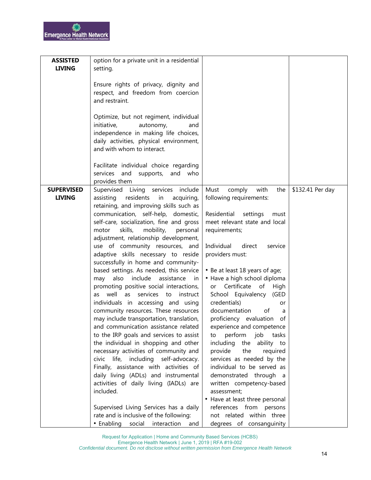| <b>ASSISTED</b>   | option for a private unit in a residential |                                 |                  |
|-------------------|--------------------------------------------|---------------------------------|------------------|
| <b>LIVING</b>     | setting.                                   |                                 |                  |
|                   |                                            |                                 |                  |
|                   | Ensure rights of privacy, dignity and      |                                 |                  |
|                   |                                            |                                 |                  |
|                   | respect, and freedom from coercion         |                                 |                  |
|                   | and restraint.                             |                                 |                  |
|                   |                                            |                                 |                  |
|                   | Optimize, but not regiment, individual     |                                 |                  |
|                   | autonomy,<br>initiative,<br>and            |                                 |                  |
|                   | independence in making life choices,       |                                 |                  |
|                   | daily activities, physical environment,    |                                 |                  |
|                   | and with whom to interact.                 |                                 |                  |
|                   |                                            |                                 |                  |
|                   | Facilitate individual choice regarding     |                                 |                  |
|                   | services and supports, and who             |                                 |                  |
|                   | provides them                              |                                 |                  |
| <b>SUPERVISED</b> | Supervised Living services include         | Must<br>comply<br>with<br>the   | \$132.41 Per day |
| <b>LIVING</b>     | residents<br>assisting<br>in<br>acquiring, | following requirements:         |                  |
|                   | retaining, and improving skills such as    |                                 |                  |
|                   | communication, self-help, domestic,        | Residential settings<br>must    |                  |
|                   | self-care, socialization, fine and gross   | meet relevant state and local   |                  |
|                   | skills,<br>mobility,<br>personal<br>motor  | requirements;                   |                  |
|                   | adjustment, relationship development,      |                                 |                  |
|                   | use of community resources, and            | Individual<br>direct<br>service |                  |
|                   |                                            |                                 |                  |
|                   | adaptive skills necessary to reside        | providers must:                 |                  |
|                   | successfully in home and community-        |                                 |                  |
|                   | based settings. As needed, this service    | • Be at least 18 years of age;  |                  |
|                   | also include<br>assistance in<br>may       | • Have a high school diploma    |                  |
|                   | promoting positive social interactions,    | or Certificate of High          |                  |
|                   | as well as<br>services to instruct         | School Equivalency (GED         |                  |
|                   | individuals in accessing and using         | credentials)<br>or              |                  |
|                   | community resources. These resources       | documentation<br>of<br>a        |                  |
|                   | may include transportation, translation,   | proficiency evaluation<br>ot    |                  |
|                   | and communication assistance related       | experience and competence       |                  |
|                   | to the IRP goals and services to assist    | perform<br>job<br>tasks<br>to   |                  |
|                   | the individual in shopping and other       | including the<br>ability to     |                  |
|                   | necessary activities of community and      | provide<br>the<br>required      |                  |
|                   | civic life, including self-advocacy.       | services as needed by the       |                  |
|                   | Finally, assistance with activities of     | individual to be served as      |                  |
|                   | daily living (ADLs) and instrumental       | demonstrated through a          |                  |
|                   | activities of daily living (IADLs) are     | written competency-based        |                  |
|                   | included.                                  | assessment;                     |                  |
|                   |                                            | • Have at least three personal  |                  |
|                   | Supervised Living Services has a daily     | references from persons         |                  |
|                   | rate and is inclusive of the following:    | not related within three        |                  |
|                   | • Enabling social<br>interaction<br>and    | degrees of consanguinity        |                  |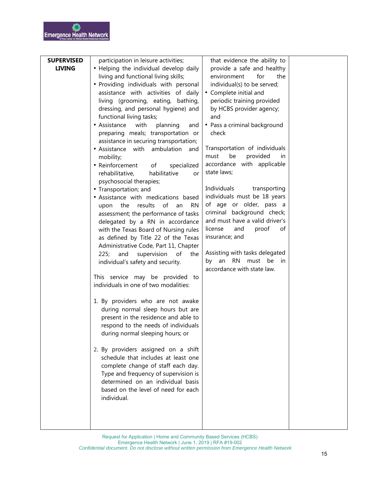| <b>SUPERVISED</b> | participation in leisure activities;            | that evidence the ability to   |  |
|-------------------|-------------------------------------------------|--------------------------------|--|
| <b>LIVING</b>     | • Helping the individual develop daily          | provide a safe and healthy     |  |
|                   | living and functional living skills;            | for<br>the<br>environment      |  |
|                   | • Providing individuals with personal           | individual(s) to be served;    |  |
|                   | assistance with activities of daily             | • Complete initial and         |  |
|                   | living (grooming, eating,<br>bathing,           | periodic training provided     |  |
|                   | dressing, and personal hygiene) and             | by HCBS provider agency;       |  |
|                   | functional living tasks;                        | and                            |  |
|                   | • Assistance<br>with<br>planning<br>and         | • Pass a criminal background   |  |
|                   | preparing meals; transportation or              | check                          |  |
|                   | assistance in securing transportation;          |                                |  |
|                   | • Assistance with ambulation<br>and             | Transportation of individuals  |  |
|                   | mobility;                                       | be<br>provided<br>must<br>in   |  |
|                   | • Reinforcement<br>of<br>specialized            | accordance with applicable     |  |
|                   | rehabilitative,<br>habilitative<br>or           | state laws;                    |  |
|                   | psychosocial therapies;                         |                                |  |
|                   | • Transportation; and                           | Individuals<br>transporting    |  |
|                   | • Assistance with medications based             | individuals must be 18 years   |  |
|                   | of<br>results<br><b>RN</b><br>the<br>an<br>upon | of age or older, pass a        |  |
|                   | assessment; the performance of tasks            | criminal background check;     |  |
|                   | delegated by a RN in accordance                 | and must have a valid driver's |  |
|                   | with the Texas Board of Nursing rules           | license<br>and<br>proof<br>οf  |  |
|                   | as defined by Title 22 of the Texas             | insurance; and                 |  |
|                   | Administrative Code, Part 11, Chapter           |                                |  |
|                   | of<br>225;<br>and<br>supervision<br>the         | Assisting with tasks delegated |  |
|                   | individual's safety and security.               | by an RN<br>must<br>be<br>in   |  |
|                   |                                                 | accordance with state law.     |  |
|                   | This service may be provided to                 |                                |  |
|                   | individuals in one of two modalities:           |                                |  |
|                   |                                                 |                                |  |
|                   | 1. By providers who are not awake               |                                |  |
|                   | during normal sleep hours but are               |                                |  |
|                   | present in the residence and able to            |                                |  |
|                   | respond to the needs of individuals             |                                |  |
|                   | during normal sleeping hours; or                |                                |  |
|                   | 2. By providers assigned on a shift             |                                |  |
|                   | schedule that includes at least one             |                                |  |
|                   | complete change of staff each day.              |                                |  |
|                   | Type and frequency of supervision is            |                                |  |
|                   | determined on an individual basis               |                                |  |
|                   | based on the level of need for each             |                                |  |
|                   | individual.                                     |                                |  |
|                   |                                                 |                                |  |
|                   |                                                 |                                |  |
|                   |                                                 |                                |  |
|                   |                                                 |                                |  |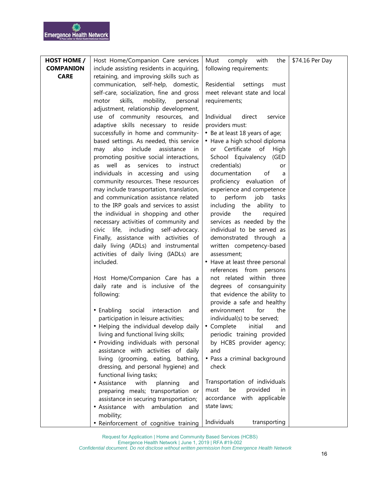| <b>HOST HOME /</b> | Host Home/Companion Care services                                               | with<br>Must<br>comply<br>the                    | \$74.16 Per Day |
|--------------------|---------------------------------------------------------------------------------|--------------------------------------------------|-----------------|
| <b>COMPANION</b>   | include assisting residents in acquiring,                                       | following requirements:                          |                 |
| <b>CARE</b>        | retaining, and improving skills such as                                         |                                                  |                 |
|                    | communication, self-help, domestic,                                             | Residential<br>settings<br>must                  |                 |
|                    | self-care, socialization, fine and gross                                        | meet relevant state and local                    |                 |
|                    | skills,<br>mobility,<br>motor<br>personal                                       | requirements;                                    |                 |
|                    | adjustment, relationship development,                                           |                                                  |                 |
|                    | use of community resources, and                                                 | Individual<br>direct<br>service                  |                 |
|                    | adaptive skills necessary to reside                                             | providers must:                                  |                 |
|                    | successfully in home and community-                                             | • Be at least 18 years of age;                   |                 |
|                    | based settings. As needed, this service                                         | • Have a high school diploma                     |                 |
|                    | also include<br>assistance<br>may<br>in.                                        | or Certificate of<br>High                        |                 |
|                    | promoting positive social interactions,                                         | School Equivalency (GED                          |                 |
|                    | well<br>services<br>as<br>instruct<br>as<br>to                                  | credentials)<br>or                               |                 |
|                    | individuals in accessing and using                                              | documentation<br>of<br>a                         |                 |
|                    | community resources. These resources                                            | proficiency evaluation of                        |                 |
|                    | may include transportation, translation,                                        | experience and competence                        |                 |
|                    | and communication assistance related                                            | perform job<br>to<br>tasks                       |                 |
|                    | to the IRP goals and services to assist<br>the individual in shopping and other | including the ability to<br>the                  |                 |
|                    | necessary activities of community and                                           | provide<br>required<br>services as needed by the |                 |
|                    | civic life, including self-advocacy.                                            | individual to be served as                       |                 |
|                    | Finally, assistance with activities of                                          | demonstrated through a                           |                 |
|                    | daily living (ADLs) and instrumental                                            | written competency-based                         |                 |
|                    | activities of daily living (IADLs) are                                          | assessment;                                      |                 |
|                    | included.                                                                       | • Have at least three personal                   |                 |
|                    |                                                                                 | references from persons                          |                 |
|                    | Host Home/Companion Care has a                                                  | not related within three                         |                 |
|                    | daily rate and is inclusive of the                                              | degrees of consanguinity                         |                 |
|                    | following:                                                                      | that evidence the ability to                     |                 |
|                    |                                                                                 | provide a safe and healthy                       |                 |
|                    | • Enabling<br>interaction<br>social<br>and                                      | environment<br>for<br>the                        |                 |
|                    | participation in leisure activities;                                            | individual(s) to be served;                      |                 |
|                    | • Helping the individual develop daily   • Complete initial                     | and                                              |                 |
|                    | living and functional living skills;                                            | periodic training provided                       |                 |
|                    | • Providing individuals with personal                                           | by HCBS provider agency;                         |                 |
|                    | assistance with activities of daily                                             | and                                              |                 |
|                    | living (grooming, eating, bathing,                                              | • Pass a criminal background                     |                 |
|                    | dressing, and personal hygiene) and                                             | check                                            |                 |
|                    | functional living tasks;                                                        |                                                  |                 |
|                    | • Assistance<br>with<br>planning<br>and                                         | Transportation of individuals                    |                 |
|                    | preparing meals; transportation or                                              | be<br>provided<br>must<br>in                     |                 |
|                    | assistance in securing transportation;                                          | accordance with applicable                       |                 |
|                    | • Assistance with ambulation<br>and                                             | state laws;                                      |                 |
|                    | mobility;                                                                       | Individuals<br>transporting                      |                 |
|                    | • Reinforcement of cognitive training                                           |                                                  |                 |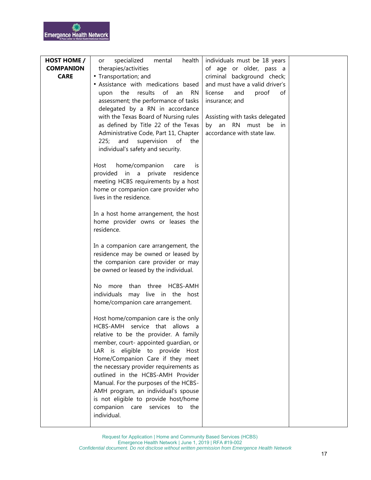| <b>HOST HOME /</b> | specialized<br>health<br>mental<br>or         | individuals must be 18 years   |  |
|--------------------|-----------------------------------------------|--------------------------------|--|
| <b>COMPANION</b>   | therapies/activities                          | of age or older, pass a        |  |
| <b>CARE</b>        | • Transportation; and                         | criminal background check;     |  |
|                    | • Assistance with medications based           | and must have a valid driver's |  |
|                    | the results<br>of<br>an<br><b>RN</b><br>upon  | license<br>proof<br>and<br>of  |  |
|                    | assessment; the performance of tasks          | insurance; and                 |  |
|                    | delegated by a RN in accordance               |                                |  |
|                    | with the Texas Board of Nursing rules         | Assisting with tasks delegated |  |
|                    | as defined by Title 22 of the Texas           | by an RN must be in            |  |
|                    | Administrative Code, Part 11, Chapter         | accordance with state law.     |  |
|                    | and<br>225;<br>supervision<br>of<br>the       |                                |  |
|                    | individual's safety and security.             |                                |  |
|                    |                                               |                                |  |
|                    | home/companion<br>Host<br>care<br>İS          |                                |  |
|                    | provided in a private<br>residence            |                                |  |
|                    | meeting HCBS requirements by a host           |                                |  |
|                    | home or companion care provider who           |                                |  |
|                    | lives in the residence.                       |                                |  |
|                    | In a host home arrangement, the host          |                                |  |
|                    | home provider owns or leases the              |                                |  |
|                    | residence.                                    |                                |  |
|                    |                                               |                                |  |
|                    | In a companion care arrangement, the          |                                |  |
|                    | residence may be owned or leased by           |                                |  |
|                    | the companion care provider or may            |                                |  |
|                    | be owned or leased by the individual.         |                                |  |
|                    |                                               |                                |  |
|                    | more than three HCBS-AMH<br>No.               |                                |  |
|                    | individuals may live in the host              |                                |  |
|                    | home/companion care arrangement.              |                                |  |
|                    |                                               |                                |  |
|                    | Host home/companion care is the only          |                                |  |
|                    | HCBS-AMH service that allows a                |                                |  |
|                    | relative to be the provider. A family         |                                |  |
|                    | member, court- appointed quardian, or         |                                |  |
|                    | LAR is eligible to provide<br>Host            |                                |  |
|                    | Home/Companion Care if they meet              |                                |  |
|                    | the necessary provider requirements as        |                                |  |
|                    | outlined in the HCBS-AMH Provider             |                                |  |
|                    | Manual. For the purposes of the HCBS-         |                                |  |
|                    | AMH program, an individual's spouse           |                                |  |
|                    | is not eligible to provide host/home          |                                |  |
|                    | companion care services to the<br>individual. |                                |  |
|                    |                                               |                                |  |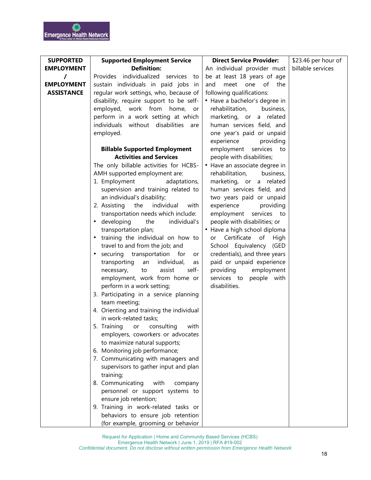| <b>SUPPORTED</b>  | <b>Supported Employment Service</b>            | <b>Direct Service Provider:</b> | \$23.46 per hour of |
|-------------------|------------------------------------------------|---------------------------------|---------------------|
| <b>EMPLOYMENT</b> | <b>Definition:</b>                             | An individual provider must     | billable services   |
| T                 | Provides individualized services to            | be at least 18 years of age     |                     |
| <b>EMPLOYMENT</b> | sustain individuals in paid jobs in            | meet one<br>of<br>and<br>the    |                     |
| <b>ASSISTANCE</b> | regular work settings, who, because of         | following qualifications:       |                     |
|                   | disability, require support to be self-        | • Have a bachelor's degree in   |                     |
|                   | employed, work from<br>home,<br>or             | rehabilitation,<br>business,    |                     |
|                   | perform in a work setting at which             | marketing, or a related         |                     |
|                   | individuals without disabilities<br>are        | human services field, and       |                     |
|                   | employed.                                      | one year's paid or unpaid       |                     |
|                   |                                                | experience<br>providing         |                     |
|                   | <b>Billable Supported Employment</b>           | services to<br>employment       |                     |
|                   | <b>Activities and Services</b>                 | people with disabilities;       |                     |
|                   | The only billable activities for HCBS-         | • Have an associate degree in   |                     |
|                   | AMH supported employment are:                  | rehabilitation,<br>business,    |                     |
|                   | 1. Employment<br>adaptations,                  | marketing, or a related         |                     |
|                   | supervision and training related to            | human services field, and       |                     |
|                   | an individual's disability;                    | two years paid or unpaid        |                     |
|                   | individual<br>2. Assisting<br>the<br>with      | experience<br>providing         |                     |
|                   | transportation needs which include:            | employment<br>services to       |                     |
|                   | developing<br>the<br>individual's<br>٠         | people with disabilities; or    |                     |
|                   | transportation plan;                           | • Have a high school diploma    |                     |
|                   | training the individual on how to              | or Certificate of<br>High       |                     |
|                   | travel to and from the job; and                | School Equivalency (GED         |                     |
|                   | securing transportation for<br>or<br>$\bullet$ | credentials), and three years   |                     |
|                   | transporting<br>individual,<br>an<br>as        | paid or unpaid experience       |                     |
|                   | assist<br>self-<br>necessary,<br>to            | providing<br>employment         |                     |
|                   | employment, work from home or                  | services to people with         |                     |
|                   | perform in a work setting;                     | disabilities.                   |                     |
|                   | 3. Participating in a service planning         |                                 |                     |
|                   | team meeting;                                  |                                 |                     |
|                   | 4. Orienting and training the individual       |                                 |                     |
|                   | in work-related tasks;                         |                                 |                     |
|                   | 5. Training or consulting<br>with              |                                 |                     |
|                   | employers, coworkers or advocates              |                                 |                     |
|                   | to maximize natural supports;                  |                                 |                     |
|                   | 6. Monitoring job performance;                 |                                 |                     |
|                   | 7. Communicating with managers and             |                                 |                     |
|                   | supervisors to gather input and plan           |                                 |                     |
|                   | training;                                      |                                 |                     |
|                   | 8. Communicating<br>with<br>company            |                                 |                     |
|                   | personnel or support systems to                |                                 |                     |
|                   | ensure job retention;                          |                                 |                     |
|                   | 9. Training in work-related tasks or           |                                 |                     |
|                   | behaviors to ensure job retention              |                                 |                     |
|                   | (for example, grooming or behavior             |                                 |                     |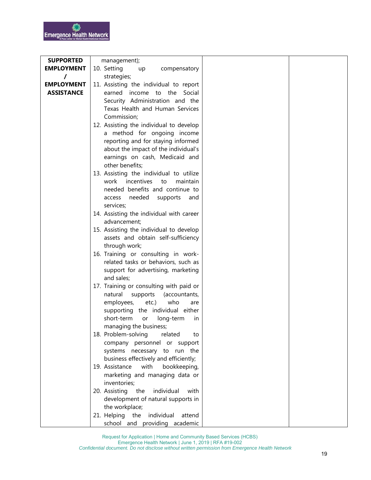| <b>SUPPORTED</b>  | management);                             |
|-------------------|------------------------------------------|
| <b>EMPLOYMENT</b> | 10. Setting<br>compensatory<br>up        |
| $\prime$          | strategies;                              |
| <b>EMPLOYMENT</b> | 11. Assisting the individual to report   |
| <b>ASSISTANCE</b> | earned<br>income to the Social           |
|                   | Security Administration and the          |
|                   | Texas Health and Human Services          |
|                   | Commission;                              |
|                   | 12. Assisting the individual to develop  |
|                   | a method for ongoing income              |
|                   | reporting and for staying informed       |
|                   | about the impact of the individual's     |
|                   | earnings on cash, Medicaid and           |
|                   | other benefits;                          |
|                   | 13. Assisting the individual to utilize  |
|                   | work incentives<br>maintain<br>to        |
|                   | needed benefits and continue to          |
|                   | needed supports<br>access<br>and         |
|                   | services;                                |
|                   | 14. Assisting the individual with career |
|                   | advancement;                             |
|                   | 15. Assisting the individual to develop  |
|                   | assets and obtain self-sufficiency       |
|                   | through work;                            |
|                   | 16. Training or consulting in work-      |
|                   | related tasks or behaviors, such as      |
|                   | support for advertising, marketing       |
|                   | and sales;                               |
|                   | 17. Training or consulting with paid or  |
|                   | natural<br>supports<br>(accountants,     |
|                   | employees,<br>etc.)<br>who<br>are        |
|                   | supporting the individual either         |
|                   | short-term<br>long-term<br>or<br>in      |
|                   | managing the business;                   |
|                   | 18. Problem-solving<br>related<br>to     |
|                   | company personnel or support             |
|                   | systems necessary to run the             |
|                   | business effectively and efficiently;    |
|                   | 19. Assistance<br>with<br>bookkeeping,   |
|                   | marketing and managing data or           |
|                   | inventories;                             |
|                   | 20. Assisting the<br>individual<br>with  |
|                   | development of natural supports in       |
|                   | the workplace;<br>individual             |
|                   | 21. Helping the<br>attend                |
|                   | school and providing academic            |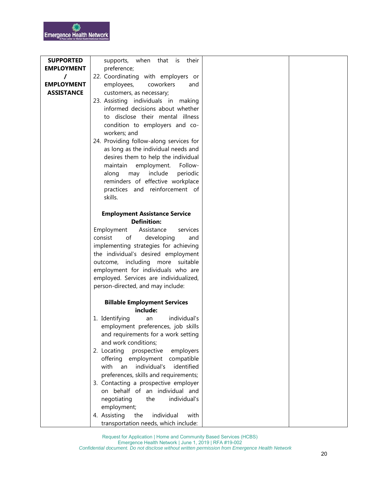| <b>SUPPORTED</b>  | when<br>that<br>is<br>their<br>supports,                               |  |
|-------------------|------------------------------------------------------------------------|--|
| <b>EMPLOYMENT</b> | preference;                                                            |  |
| $\prime$          | 22. Coordinating with employers or                                     |  |
| <b>EMPLOYMENT</b> | employees,<br>coworkers<br>and                                         |  |
| <b>ASSISTANCE</b> | customers, as necessary;                                               |  |
|                   | 23. Assisting individuals in making                                    |  |
|                   | informed decisions about whether                                       |  |
|                   | to disclose their mental illness                                       |  |
|                   | condition to employers and co-                                         |  |
|                   | workers; and                                                           |  |
|                   | 24. Providing follow-along services for                                |  |
|                   | as long as the individual needs and                                    |  |
|                   | desires them to help the individual                                    |  |
|                   | maintain<br>employment.<br>Follow-                                     |  |
|                   | include<br>periodic<br>along<br>may                                    |  |
|                   | reminders of effective workplace                                       |  |
|                   | practices and reinforcement of                                         |  |
|                   | skills.                                                                |  |
|                   |                                                                        |  |
|                   | <b>Employment Assistance Service</b>                                   |  |
|                   | <b>Definition:</b>                                                     |  |
|                   | Assistance<br>Employment<br>services                                   |  |
|                   | of<br>consist<br>developing<br>and                                     |  |
|                   | implementing strategies for achieving                                  |  |
|                   | the individual's desired employment                                    |  |
|                   | outcome, including more suitable<br>employment for individuals who are |  |
|                   | employed. Services are individualized,                                 |  |
|                   | person-directed, and may include:                                      |  |
|                   |                                                                        |  |
|                   | <b>Billable Employment Services</b>                                    |  |
|                   | include:                                                               |  |
|                   | 1. Identifying<br>individual's<br>an                                   |  |
|                   | employment preferences, job skills                                     |  |
|                   | and requirements for a work setting                                    |  |
|                   | and work conditions;                                                   |  |
|                   | 2. Locating prospective<br>employers                                   |  |
|                   | offering employment compatible                                         |  |
|                   | identified<br>with<br>individual's<br>an                               |  |
|                   | preferences, skills and requirements;                                  |  |
|                   | 3. Contacting a prospective employer                                   |  |
|                   | on behalf of an individual and                                         |  |
|                   | individual's<br>negotiating<br>the                                     |  |
|                   | employment;                                                            |  |
|                   | 4. Assisting<br>the<br>individual<br>with                              |  |
|                   | transportation needs, which include:                                   |  |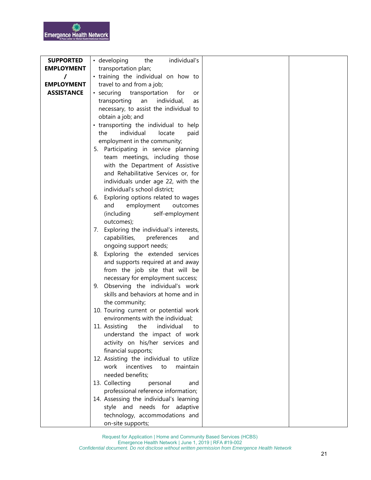| <b>SUPPORTED</b>  | · developing<br>individual's<br>the       |  |
|-------------------|-------------------------------------------|--|
| <b>EMPLOYMENT</b> | transportation plan;                      |  |
| $\prime$          | • training the individual on how to       |  |
| <b>EMPLOYMENT</b> | travel to and from a job;                 |  |
| <b>ASSISTANCE</b> | • securing<br>transportation<br>for<br>or |  |
|                   | individual,<br>transporting<br>an<br>as   |  |
|                   | necessary, to assist the individual to    |  |
|                   | obtain a job; and                         |  |
|                   | • transporting the individual to help     |  |
|                   | individual<br>locate<br>paid<br>the       |  |
|                   | employment in the community;              |  |
|                   | 5. Participating in service planning      |  |
|                   | team meetings, including those            |  |
|                   | with the Department of Assistive          |  |
|                   | and Rehabilitative Services or, for       |  |
|                   | individuals under age 22, with the        |  |
|                   | individual's school district;             |  |
|                   | Exploring options related to wages<br>6.  |  |
|                   | employment<br>outcomes<br>and             |  |
|                   | (including<br>self-employment             |  |
|                   | outcomes);                                |  |
|                   | 7. Exploring the individual's interests,  |  |
|                   | capabilities,<br>preferences<br>and       |  |
|                   | ongoing support needs;                    |  |
|                   | 8. Exploring the extended services        |  |
|                   | and supports required at and away         |  |
|                   | from the job site that will be            |  |
|                   | necessary for employment success;         |  |
|                   | 9. Observing the individual's work        |  |
|                   | skills and behaviors at home and in       |  |
|                   | the community;                            |  |
|                   | 10. Touring current or potential work     |  |
|                   | environments with the individual;         |  |
|                   | 11. Assisting the individual to           |  |
|                   | understand the impact of work             |  |
|                   | activity on his/her services and          |  |
|                   | financial supports;                       |  |
|                   | 12. Assisting the individual to utilize   |  |
|                   | incentives<br>work<br>maintain<br>to      |  |
|                   | needed benefits;                          |  |
|                   | 13. Collecting<br>personal<br>and         |  |
|                   | professional reference information;       |  |
|                   | 14. Assessing the individual's learning   |  |
|                   | style and needs for adaptive              |  |
|                   | technology, accommodations and            |  |
|                   | on-site supports;                         |  |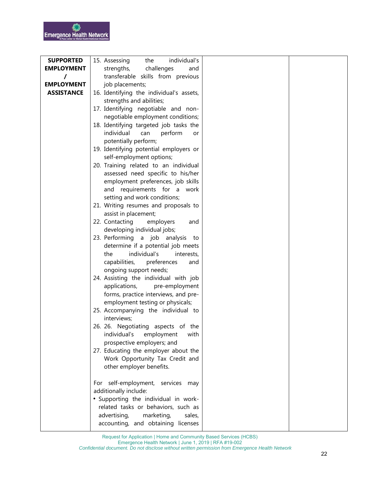| <b>SUPPORTED</b>  | 15. Assessing<br>individual's<br>the                          |  |
|-------------------|---------------------------------------------------------------|--|
| <b>EMPLOYMENT</b> | strengths,<br>challenges<br>and                               |  |
| T                 | transferable skills from previous                             |  |
| <b>EMPLOYMENT</b> | job placements;                                               |  |
| <b>ASSISTANCE</b> | 16. Identifying the individual's assets,                      |  |
|                   | strengths and abilities;                                      |  |
|                   | 17. Identifying negotiable and non-                           |  |
|                   | negotiable employment conditions;                             |  |
|                   | 18. Identifying targeted job tasks the                        |  |
|                   | individual<br>can<br>perform<br>or                            |  |
|                   | potentially perform;                                          |  |
|                   | 19. Identifying potential employers or                        |  |
|                   | self-employment options;                                      |  |
|                   | 20. Training related to an individual                         |  |
|                   | assessed need specific to his/her                             |  |
|                   | employment preferences, job skills                            |  |
|                   | and requirements for a work                                   |  |
|                   | setting and work conditions;                                  |  |
|                   | 21. Writing resumes and proposals to                          |  |
|                   | assist in placement;                                          |  |
|                   | 22. Contacting<br>employers<br>and                            |  |
|                   | developing individual jobs;                                   |  |
|                   | 23. Performing a job analysis to                              |  |
|                   | determine if a potential job meets                            |  |
|                   | individual's<br>the<br>interests,                             |  |
|                   | capabilities,<br>preferences<br>and                           |  |
|                   | ongoing support needs;                                        |  |
|                   | 24. Assisting the individual with job                         |  |
|                   | applications,<br>pre-employment                               |  |
|                   | forms, practice interviews, and pre-                          |  |
|                   | employment testing or physicals;                              |  |
|                   | 25. Accompanying the individual to                            |  |
|                   | interviews;                                                   |  |
|                   | 26. 26. Negotiating aspects of the                            |  |
|                   | individual's<br>employment<br>with                            |  |
|                   | prospective employers; and                                    |  |
|                   | 27. Educating the employer about the                          |  |
|                   | Work Opportunity Tax Credit and                               |  |
|                   | other employer benefits.                                      |  |
|                   |                                                               |  |
|                   | For self-employment, services<br>may                          |  |
|                   | additionally include:<br>• Supporting the individual in work- |  |
|                   | related tasks or behaviors, such as                           |  |
|                   | advertising,<br>marketing,<br>sales,                          |  |
|                   | accounting, and obtaining licenses                            |  |
|                   |                                                               |  |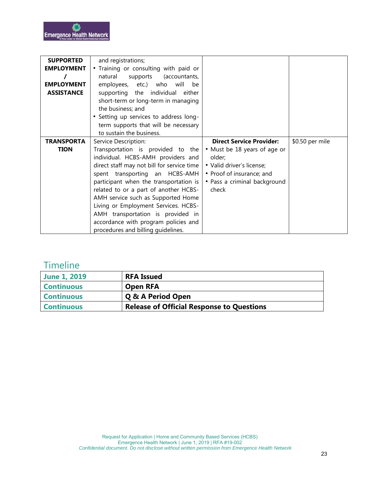| <b>SUPPORTED</b>  | and registrations;                         |                                 |                 |
|-------------------|--------------------------------------------|---------------------------------|-----------------|
| <b>EMPLOYMENT</b> | • Training or consulting with paid or      |                                 |                 |
|                   | natural<br>supports<br>(accountants,       |                                 |                 |
| <b>EMPLOYMENT</b> | employees, etc.) who will<br>be            |                                 |                 |
| <b>ASSISTANCE</b> | supporting the individual either           |                                 |                 |
|                   | short-term or long-term in managing        |                                 |                 |
|                   | the business; and                          |                                 |                 |
|                   | • Setting up services to address long-     |                                 |                 |
|                   | term supports that will be necessary       |                                 |                 |
|                   | to sustain the business.                   |                                 |                 |
| <b>TRANSPORTA</b> | Service Description:                       | <b>Direct Service Provider:</b> | \$0.50 per mile |
|                   |                                            |                                 |                 |
| <b>TION</b>       | Transportation is provided to the          | • Must be 18 years of age or    |                 |
|                   | individual. HCBS-AMH providers and         | older:                          |                 |
|                   | direct staff may not bill for service time | • Valid driver's license;       |                 |
|                   | spent transporting an HCBS-AMH             | • Proof of insurance; and       |                 |
|                   | participant when the transportation is     | • Pass a criminal background    |                 |
|                   | related to or a part of another HCBS-      | check                           |                 |
|                   | AMH service such as Supported Home         |                                 |                 |
|                   | Living or Employment Services. HCBS-       |                                 |                 |
|                   | AMH transportation is provided in          |                                 |                 |
|                   | accordance with program policies and       |                                 |                 |

# **Timeline**

| <b>June 1, 2019</b> | <b>RFA Issued</b>                                |
|---------------------|--------------------------------------------------|
| <b>Continuous</b>   | <b>Open RFA</b>                                  |
| <b>Continuous</b>   | Q & A Period Open                                |
| <b>Continuous</b>   | <b>Release of Official Response to Questions</b> |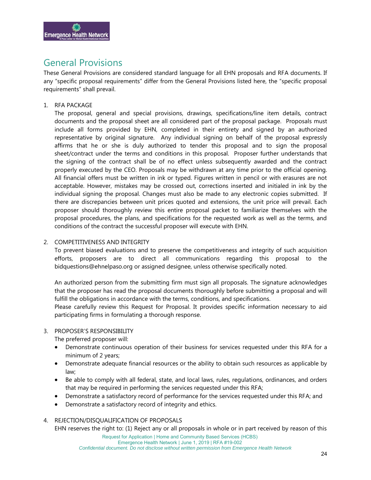

## General Provisions

These General Provisions are considered standard language for all EHN proposals and RFA documents. If any "specific proposal requirements" differ from the General Provisions listed here, the "specific proposal requirements" shall prevail.

#### 1. RFA PACKAGE

The proposal, general and special provisions, drawings, specifications/line item details, contract documents and the proposal sheet are all considered part of the proposal package. Proposals must include all forms provided by EHN, completed in their entirety and signed by an authorized representative by original signature. Any individual signing on behalf of the proposal expressly affirms that he or she is duly authorized to tender this proposal and to sign the proposal sheet/contract under the terms and conditions in this proposal. Proposer further understands that the signing of the contract shall be of no effect unless subsequently awarded and the contract properly executed by the CEO. Proposals may be withdrawn at any time prior to the official opening. All financial offers must be written in ink or typed. Figures written in pencil or with erasures are not acceptable. However, mistakes may be crossed out, corrections inserted and initialed in ink by the individual signing the proposal. Changes must also be made to any electronic copies submitted. If there are discrepancies between unit prices quoted and extensions, the unit price will prevail. Each proposer should thoroughly review this entire proposal packet to familiarize themselves with the proposal procedures, the plans, and specifications for the requested work as well as the terms, and conditions of the contract the successful proposer will execute with EHN.

#### 2. COMPETITIVENESS AND INTEGRITY

To prevent biased evaluations and to preserve the competitiveness and integrity of such acquisition efforts, proposers are to direct all communications regarding this proposal to the bidquestions@ehnelpaso.org or assigned designee, unless otherwise specifically noted.

An authorized person from the submitting firm must sign all proposals. The signature acknowledges that the proposer has read the proposal documents thoroughly before submitting a proposal and will fulfill the obligations in accordance with the terms, conditions, and specifications.

Please carefully review this Request for Proposal. It provides specific information necessary to aid participating firms in formulating a thorough response.

#### 3. PROPOSER'S RESPONSIBILITY

The preferred proposer will:

- Demonstrate continuous operation of their business for services requested under this RFA for a minimum of 2 years;
- Demonstrate adequate financial resources or the ability to obtain such resources as applicable by law;
- Be able to comply with all federal, state, and local laws, rules, regulations, ordinances, and orders that may be required in performing the services requested under this RFA;
- Demonstrate a satisfactory record of performance for the services requested under this RFA; and
- Demonstrate a satisfactory record of integrity and ethics.

#### 4. REJECTION/DISQUALIFICATION OF PROPOSALS

EHN reserves the right to: (1) Reject any or all proposals in whole or in part received by reason of this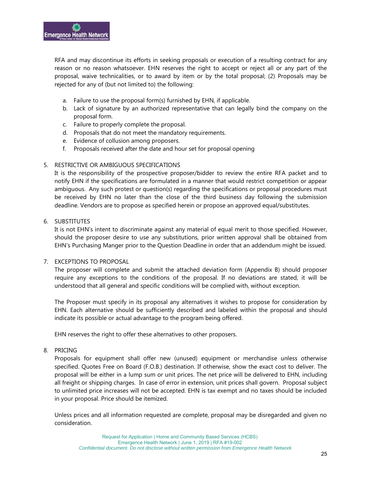RFA and may discontinue its efforts in seeking proposals or execution of a resulting contract for any reason or no reason whatsoever. EHN reserves the right to accept or reject all or any part of the proposal, waive technicalities, or to award by item or by the total proposal; (2) Proposals may be rejected for any of (but not limited to) the following:

- a. Failure to use the proposal form(s) furnished by EHN, if applicable.
- b. Lack of signature by an authorized representative that can legally bind the company on the proposal form.
- c. Failure to properly complete the proposal.
- d. Proposals that do not meet the mandatory requirements.
- e. Evidence of collusion among proposers.
- f. Proposals received after the date and hour set for proposal opening

#### 5. RESTRICTIVE OR AMBIGUOUS SPECIFICATIONS

It is the responsibility of the prospective proposer/bidder to review the entire RFA packet and to notify EHN if the specifications are formulated in a manner that would restrict competition or appear ambiguous. Any such protest or question(s) regarding the specifications or proposal procedures must be received by EHN no later than the close of the third business day following the submission deadline. Vendors are to propose as specified herein or propose an approved equal/substitutes.

#### 6. SUBSTITUTES

It is not EHN's intent to discriminate against any material of equal merit to those specified. However, should the proposer desire to use any substitutions, prior written approval shall be obtained from EHN's Purchasing Manger prior to the Question Deadline in order that an addendum might be issued.

#### 7. EXCEPTIONS TO PROPOSAL

The proposer will complete and submit the attached deviation form (Appendix B) should proposer require any exceptions to the conditions of the proposal. If no deviations are stated, it will be understood that all general and specific conditions will be complied with, without exception.

The Proposer must specify in its proposal any alternatives it wishes to propose for consideration by EHN. Each alternative should be sufficiently described and labeled within the proposal and should indicate its possible or actual advantage to the program being offered.

EHN reserves the right to offer these alternatives to other proposers.

#### 8. PRICING

Proposals for equipment shall offer new (unused) equipment or merchandise unless otherwise specified. Quotes Free on Board (F.O.B.) destination. If otherwise, show the exact cost to deliver. The proposal will be either in a lump sum or unit prices. The net price will be delivered to EHN, including all freight or shipping charges. In case of error in extension, unit prices shall govern. Proposal subject to unlimited price increases will not be accepted. EHN is tax exempt and no taxes should be included in your proposal. Price should be itemized.

Unless prices and all information requested are complete, proposal may be disregarded and given no consideration.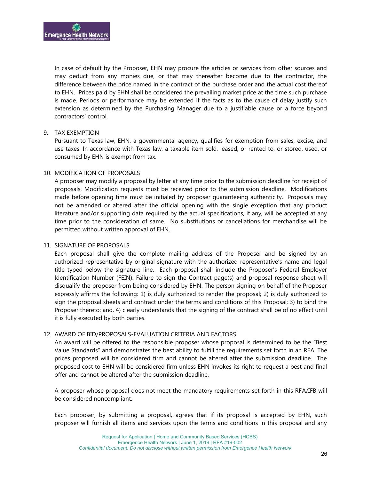In case of default by the Proposer, EHN may procure the articles or services from other sources and may deduct from any monies due, or that may thereafter become due to the contractor, the difference between the price named in the contract of the purchase order and the actual cost thereof to EHN. Prices paid by EHN shall be considered the prevailing market price at the time such purchase is made. Periods or performance may be extended if the facts as to the cause of delay justify such extension as determined by the Purchasing Manager due to a justifiable cause or a force beyond contractors' control.

#### 9. TAX EXEMPTION

Pursuant to Texas law, EHN, a governmental agency, qualifies for exemption from sales, excise, and use taxes. In accordance with Texas law, a taxable item sold, leased, or rented to, or stored, used, or consumed by EHN is exempt from tax.

#### 10. MODIFICATION OF PROPOSALS

A proposer may modify a proposal by letter at any time prior to the submission deadline for receipt of proposals. Modification requests must be received prior to the submission deadline. Modifications made before opening time must be initialed by proposer guaranteeing authenticity. Proposals may not be amended or altered after the official opening with the single exception that any product literature and/or supporting data required by the actual specifications, if any, will be accepted at any time prior to the consideration of same. No substitutions or cancellations for merchandise will be permitted without written approval of EHN.

#### 11. SIGNATURE OF PROPOSALS

Each proposal shall give the complete mailing address of the Proposer and be signed by an authorized representative by original signature with the authorized representative's name and legal title typed below the signature line. Each proposal shall include the Proposer's Federal Employer Identification Number (FEIN). Failure to sign the Contract page(s) and proposal response sheet will disqualify the proposer from being considered by EHN. The person signing on behalf of the Proposer expressly affirms the following: 1) is duly authorized to render the proposal; 2) is duly authorized to sign the proposal sheets and contract under the terms and conditions of this Proposal; 3) to bind the Proposer thereto; and, 4) clearly understands that the signing of the contract shall be of no effect until it is fully executed by both parties.

#### 12. AWARD OF BID/PROPOSALS-EVALUATION CRITERIA AND FACTORS

An award will be offered to the responsible proposer whose proposal is determined to be the "Best Value Standards" and demonstrates the best ability to fulfill the requirements set forth in an RFA. The prices proposed will be considered firm and cannot be altered after the submission deadline. The proposed cost to EHN will be considered firm unless EHN invokes its right to request a best and final offer and cannot be altered after the submission deadline.

A proposer whose proposal does not meet the mandatory requirements set forth in this RFA/IFB will be considered noncompliant.

Each proposer, by submitting a proposal, agrees that if its proposal is accepted by EHN, such proposer will furnish all items and services upon the terms and conditions in this proposal and any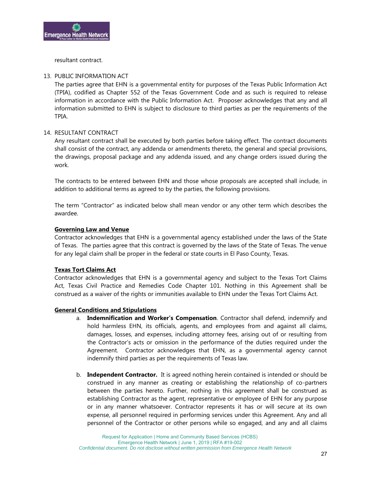

resultant contract.

#### 13. PUBLIC INFORMATION ACT

The parties agree that EHN is a governmental entity for purposes of the Texas Public Information Act (TPIA), codified as Chapter 552 of the Texas Government Code and as such is required to release information in accordance with the Public Information Act. Proposer acknowledges that any and all information submitted to EHN is subject to disclosure to third parties as per the requirements of the TPIA.

#### 14. RESULTANT CONTRACT

Any resultant contract shall be executed by both parties before taking effect. The contract documents shall consist of the contract, any addenda or amendments thereto, the general and special provisions, the drawings, proposal package and any addenda issued, and any change orders issued during the work.

The contracts to be entered between EHN and those whose proposals are accepted shall include, in addition to additional terms as agreed to by the parties, the following provisions.

The term "Contractor" as indicated below shall mean vendor or any other term which describes the awardee.

#### **Governing Law and Venue**

Contractor acknowledges that EHN is a governmental agency established under the laws of the State of Texas. The parties agree that this contract is governed by the laws of the State of Texas. The venue for any legal claim shall be proper in the federal or state courts in El Paso County, Texas.

#### **Texas Tort Claims Act**

Contractor acknowledges that EHN is a governmental agency and subject to the Texas Tort Claims Act, Texas Civil Practice and Remedies Code Chapter 101. Nothing in this Agreement shall be construed as a waiver of the rights or immunities available to EHN under the Texas Tort Claims Act.

#### **General Conditions and Stipulations**

- a. **Indemnification and Worker's Compensation**. Contractor shall defend, indemnify and hold harmless EHN, its officials, agents, and employees from and against all claims, damages, losses, and expenses, including attorney fees, arising out of or resulting from the Contractor's acts or omission in the performance of the duties required under the Agreement. Contractor acknowledges that EHN, as a governmental agency cannot indemnify third parties as per the requirements of Texas law.
- b. **Independent Contractor.** It is agreed nothing herein contained is intended or should be construed in any manner as creating or establishing the relationship of co-partners between the parties hereto. Further, nothing in this agreement shall be construed as establishing Contractor as the agent, representative or employee of EHN for any purpose or in any manner whatsoever. Contractor represents it has or will secure at its own expense, all personnel required in performing services under this Agreement. Any and all personnel of the Contractor or other persons while so engaged, and any and all claims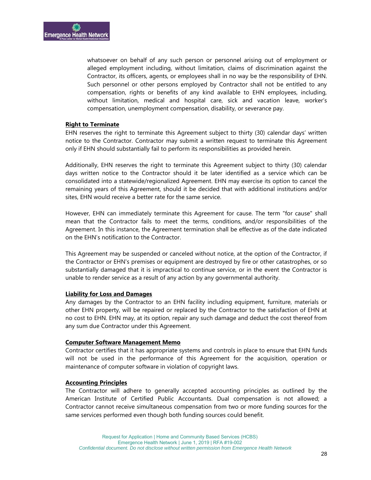whatsoever on behalf of any such person or personnel arising out of employment or alleged employment including, without limitation, claims of discrimination against the Contractor, its officers, agents, or employees shall in no way be the responsibility of EHN. Such personnel or other persons employed by Contractor shall not be entitled to any compensation, rights or benefits of any kind available to EHN employees, including, without limitation, medical and hospital care, sick and vacation leave, worker's compensation, unemployment compensation, disability, or severance pay.

#### **Right to Terminate**

EHN reserves the right to terminate this Agreement subject to thirty (30) calendar days' written notice to the Contractor. Contractor may submit a written request to terminate this Agreement only if EHN should substantially fail to perform its responsibilities as provided herein.

Additionally, EHN reserves the right to terminate this Agreement subject to thirty (30) calendar days written notice to the Contractor should it be later identified as a service which can be consolidated into a statewide/regionalized Agreement. EHN may exercise its option to cancel the remaining years of this Agreement, should it be decided that with additional institutions and/or sites, EHN would receive a better rate for the same service.

However, EHN can immediately terminate this Agreement for cause. The term "for cause" shall mean that the Contractor fails to meet the terms, conditions, and/or responsibilities of the Agreement. In this instance, the Agreement termination shall be effective as of the date indicated on the EHN's notification to the Contractor.

This Agreement may be suspended or canceled without notice, at the option of the Contractor, if the Contractor or EHN's premises or equipment are destroyed by fire or other catastrophes, or so substantially damaged that it is impractical to continue service, or in the event the Contractor is unable to render service as a result of any action by any governmental authority.

#### **Liability for Loss and Damages**

Any damages by the Contractor to an EHN facility including equipment, furniture, materials or other EHN property, will be repaired or replaced by the Contractor to the satisfaction of EHN at no cost to EHN. EHN may, at its option, repair any such damage and deduct the cost thereof from any sum due Contractor under this Agreement.

#### **Computer Software Management Memo**

Contractor certifies that it has appropriate systems and controls in place to ensure that EHN funds will not be used in the performance of this Agreement for the acquisition, operation or maintenance of computer software in violation of copyright laws.

#### **Accounting Principles**

The Contractor will adhere to generally accepted accounting principles as outlined by the American Institute of Certified Public Accountants. Dual compensation is not allowed; a Contractor cannot receive simultaneous compensation from two or more funding sources for the same services performed even though both funding sources could benefit.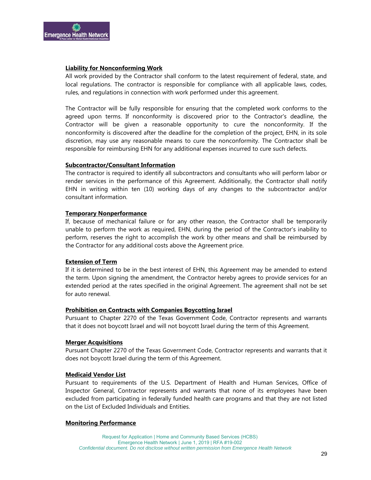

#### **Liability for Nonconforming Work**

All work provided by the Contractor shall conform to the latest requirement of federal, state, and local regulations. The contractor is responsible for compliance with all applicable laws, codes, rules, and regulations in connection with work performed under this agreement.

The Contractor will be fully responsible for ensuring that the completed work conforms to the agreed upon terms. If nonconformity is discovered prior to the Contractor's deadline, the Contractor will be given a reasonable opportunity to cure the nonconformity. If the nonconformity is discovered after the deadline for the completion of the project, EHN, in its sole discretion, may use any reasonable means to cure the nonconformity. The Contractor shall be responsible for reimbursing EHN for any additional expenses incurred to cure such defects.

#### **Subcontractor/Consultant Information**

The contractor is required to identify all subcontractors and consultants who will perform labor or render services in the performance of this Agreement. Additionally, the Contractor shall notify EHN in writing within ten (10) working days of any changes to the subcontractor and/or consultant information.

#### **Temporary Nonperformance**

If, because of mechanical failure or for any other reason, the Contractor shall be temporarily unable to perform the work as required, EHN, during the period of the Contractor's inability to perform, reserves the right to accomplish the work by other means and shall be reimbursed by the Contractor for any additional costs above the Agreement price.

#### **Extension of Term**

If it is determined to be in the best interest of EHN, this Agreement may be amended to extend the term. Upon signing the amendment, the Contractor hereby agrees to provide services for an extended period at the rates specified in the original Agreement. The agreement shall not be set for auto renewal.

#### **Prohibition on Contracts with Companies Boycotting Israel**

Pursuant to Chapter 2270 of the Texas Government Code, Contractor represents and warrants that it does not boycott Israel and will not boycott Israel during the term of this Agreement.

#### **Merger Acquisitions**

Pursuant Chapter 2270 of the Texas Government Code, Contractor represents and warrants that it does not boycott Israel during the term of this Agreement.

#### **Medicaid Vendor List**

Pursuant to requirements of the U.S. Department of Health and Human Services, Office of Inspector General, Contractor represents and warrants that none of its employees have been excluded from participating in federally funded health care programs and that they are not listed on the List of Excluded Individuals and Entities.

#### **Monitoring Performance**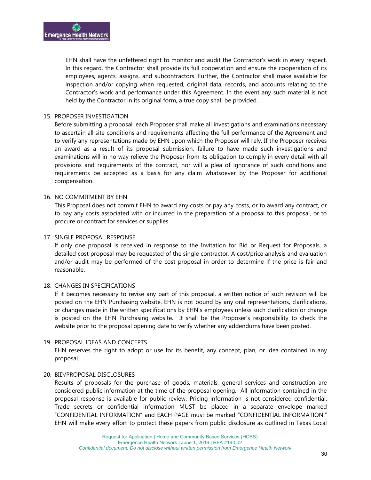EHN shall have the unfettered right to monitor and audit the Contractor's work in every respect. In this regard, the Contractor shall provide its full cooperation and ensure the cooperation of its employees, agents, assigns, and subcontractors. Further, the Contractor shall make available for inspection and/or copying when requested, original data, records, and accounts relating to the Contractor's work and performance under this Agreement. In the event any such material is not held by the Contractor in its original form, a true copy shall be provided.

#### 15. PROPOSER INVESTIGATION

Before submitting a proposal, each Proposer shall make all investigations and examinations necessary to ascertain all site conditions and requirements affecting the full performance of the Agreement and to verify any representations made by EHN upon which the Proposer will rely. If the Proposer receives an award as a result of its proposal submission, failure to have made such investigations and examinations will in no way relieve the Proposer from its obligation to comply in every detail with all provisions and requirements of the contract, nor will a plea of ignorance of such conditions and requirements be accepted as a basis for any claim whatsoever by the Proposer for additional compensation.

#### 16. NO COMMITMENT BY EHN

This Proposal does not commit EHN to award any costs or pay any costs, or to award any contract, or to pay any costs associated with or incurred in the preparation of a proposal to this proposal, or to procure or contract for services or supplies.

#### 17. SINGLE PROPOSAL RESPONSE

If only one proposal is received in response to the Invitation for Bid or Request for Proposals, a detailed cost proposal may be requested of the single contractor. A cost/price analysis and evaluation and/or audit may be performed of the cost proposal in order to determine if the price is fair and reasonable.

#### 18. CHANGES IN SPECIFICATIONS

If it becomes necessary to revise any part of this proposal, a written notice of such revision will be posted on the EHN Purchasing website. EHN is not bound by any oral representations, clarifications, or changes made in the written specifications by EHN's employees unless such clarification or change is posted on the EHN Purchasing website. It shall be the Proposer's responsibility to check the website prior to the proposal opening date to verify whether any addendums have been posted.

#### 19. PROPOSAL IDEAS AND CONCEPTS

EHN reserves the right to adopt or use for its benefit, any concept, plan, or idea contained in any proposal.

#### 20. BID/PROPOSAL DISCLOSURES

Results of proposals for the purchase of goods, materials, general services and construction are considered public information at the time of the proposal opening. All information contained in the proposal response is available for public review. Pricing information is not considered confidential. Trade secrets or confidential information MUST be placed in a separate envelope marked "CONFIDENTIAL INFORMATION" and EACH PAGE must be marked "CONFIDENTIAL INFORMATION." EHN will make every effort to protect these papers from public disclosure as outlined in Texas Local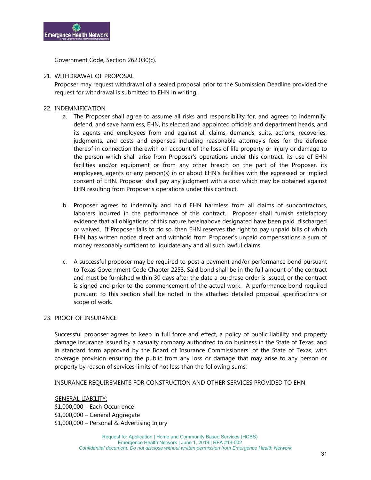

Government Code, Section 262.030(c).

#### 21. WITHDRAWAL OF PROPOSAL

Proposer may request withdrawal of a sealed proposal prior to the Submission Deadline provided the request for withdrawal is submitted to EHN in writing.

#### 22. INDEMNIFICATION

- a. The Proposer shall agree to assume all risks and responsibility for, and agrees to indemnify, defend, and save harmless, EHN, its elected and appointed officials and department heads, and its agents and employees from and against all claims, demands, suits, actions, recoveries, judgments, and costs and expenses including reasonable attorney's fees for the defense thereof in connection therewith on account of the loss of life property or injury or damage to the person which shall arise from Proposer's operations under this contract, its use of EHN facilities and/or equipment or from any other breach on the part of the Proposer, its employees, agents or any person(s) in or about EHN's facilities with the expressed or implied consent of EHN. Proposer shall pay any judgment with a cost which may be obtained against EHN resulting from Proposer's operations under this contract.
- b. Proposer agrees to indemnify and hold EHN harmless from all claims of subcontractors, laborers incurred in the performance of this contract. Proposer shall furnish satisfactory evidence that all obligations of this nature hereinabove designated have been paid, discharged or waived. If Proposer fails to do so, then EHN reserves the right to pay unpaid bills of which EHN has written notice direct and withhold from Proposer's unpaid compensations a sum of money reasonably sufficient to liquidate any and all such lawful claims.
- c. A successful proposer may be required to post a payment and/or performance bond pursuant to Texas Government Code Chapter 2253. Said bond shall be in the full amount of the contract and must be furnished within 30 days after the date a purchase order is issued, or the contract is signed and prior to the commencement of the actual work. A performance bond required pursuant to this section shall be noted in the attached detailed proposal specifications or scope of work.

#### 23. PROOF OF INSURANCE

Successful proposer agrees to keep in full force and effect, a policy of public liability and property damage insurance issued by a casualty company authorized to do business in the State of Texas, and in standard form approved by the Board of Insurance Commissioners' of the State of Texas, with coverage provision ensuring the public from any loss or damage that may arise to any person or property by reason of services limits of not less than the following sums:

#### INSURANCE REQUIREMENTS FOR CONSTRUCTION AND OTHER SERVICES PROVIDED TO EHN

#### GENERAL LIABILITY:

\$1,000,000 – Each Occurrence \$1,000,000 – General Aggregate \$1,000,000 – Personal & Advertising Injury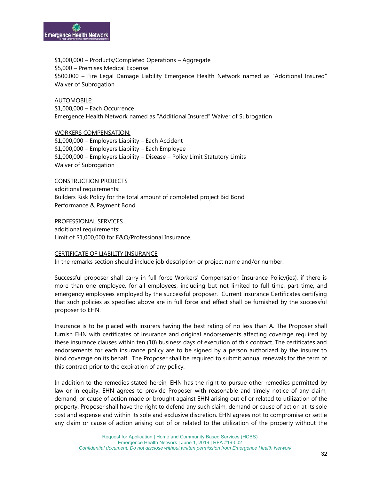

\$1,000,000 – Products/Completed Operations – Aggregate \$5,000 – Premises Medical Expense \$500,000 – Fire Legal Damage Liability Emergence Health Network named as "Additional Insured" Waiver of Subrogation

AUTOMOBILE: \$1,000,000 – Each Occurrence Emergence Health Network named as "Additional Insured" Waiver of Subrogation

WORKERS COMPENSATION: \$1,000,000 – Employers Liability – Each Accident \$1,000,000 – Employers Liability – Each Employee \$1,000,000 – Employers Liability – Disease – Policy Limit Statutory Limits Waiver of Subrogation

#### CONSTRUCTION PROJECTS

additional requirements: Builders Risk Policy for the total amount of completed project Bid Bond Performance & Payment Bond

PROFESSIONAL SERVICES

additional requirements: Limit of \$1,000,000 for E&O/Professional Insurance.

#### CERTIFICATE OF LIABILITY INSURANCE

In the remarks section should include job description or project name and/or number.

Successful proposer shall carry in full force Workers' Compensation Insurance Policy(ies), if there is more than one employee, for all employees, including but not limited to full time, part-time, and emergency employees employed by the successful proposer. Current insurance Certificates certifying that such policies as specified above are in full force and effect shall be furnished by the successful proposer to EHN.

Insurance is to be placed with insurers having the best rating of no less than A. The Proposer shall furnish EHN with certificates of insurance and original endorsements affecting coverage required by these insurance clauses within ten (10) business days of execution of this contract. The certificates and endorsements for each insurance policy are to be signed by a person authorized by the insurer to bind coverage on its behalf. The Proposer shall be required to submit annual renewals for the term of this contract prior to the expiration of any policy.

In addition to the remedies stated herein, EHN has the right to pursue other remedies permitted by law or in equity. EHN agrees to provide Proposer with reasonable and timely notice of any claim, demand, or cause of action made or brought against EHN arising out of or related to utilization of the property. Proposer shall have the right to defend any such claim, demand or cause of action at its sole cost and expense and within its sole and exclusive discretion. EHN agrees not to compromise or settle any claim or cause of action arising out of or related to the utilization of the property without the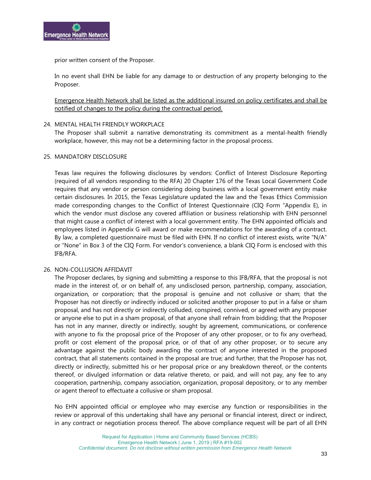

prior written consent of the Proposer.

In no event shall EHN be liable for any damage to or destruction of any property belonging to the Proposer.

Emergence Health Network shall be listed as the additional insured on policy certificates and shall be notified of changes to the policy during the contractual period.

#### 24. MENTAL HEALTH FRIENDLY WORKPLACE

The Proposer shall submit a narrative demonstrating its commitment as a mental-health friendly workplace, however, this may not be a determining factor in the proposal process.

#### 25. MANDATORY DISCLOSURE

Texas law requires the following disclosures by vendors: Conflict of Interest Disclosure Reporting (required of all vendors responding to the RFA) 20 Chapter 176 of the Texas Local Government Code requires that any vendor or person considering doing business with a local government entity make certain disclosures. In 2015, the Texas Legislature updated the law and the Texas Ethics Commission made corresponding changes to the Conflict of Interest Questionnaire (CIQ Form "Appendix E), in which the vendor must disclose any covered affiliation or business relationship with EHN personnel that might cause a conflict of interest with a local government entity. The EHN appointed officials and employees listed in Appendix G will award or make recommendations for the awarding of a contract. By law, a completed questionnaire must be filed with EHN. If no conflict of interest exists, write "N/A" or "None" in Box 3 of the CIQ Form. For vendor's convenience, a blank CIQ Form is enclosed with this IFB/RFA.

#### 26. NON-COLLUSION AFFIDAVIT

The Proposer declares, by signing and submitting a response to this IFB/RFA, that the proposal is not made in the interest of, or on behalf of, any undisclosed person, partnership, company, association, organization, or corporation; that the proposal is genuine and not collusive or sham; that the Proposer has not directly or indirectly induced or solicited another proposer to put in a false or sham proposal, and has not directly or indirectly colluded, conspired, connived, or agreed with any proposer or anyone else to put in a sham proposal, of that anyone shall refrain from bidding; that the Proposer has not in any manner, directly or indirectly, sought by agreement, communications, or conference with anyone to fix the proposal price of the Proposer of any other proposer, or to fix any overhead, profit or cost element of the proposal price, or of that of any other proposer, or to secure any advantage against the public body awarding the contract of anyone interested in the proposed contract, that all statements contained in the proposal are true; and further, that the Proposer has not, directly or indirectly, submitted his or her proposal price or any breakdown thereof, or the contents thereof, or divulged information or data relative thereto, or paid, and will not pay, any fee to any cooperation, partnership, company association, organization, proposal depository, or to any member or agent thereof to effectuate a collusive or sham proposal.

No EHN appointed official or employee who may exercise any function or responsibilities in the review or approval of this undertaking shall have any personal or financial interest, direct or indirect, in any contract or negotiation process thereof. The above compliance request will be part of all EHN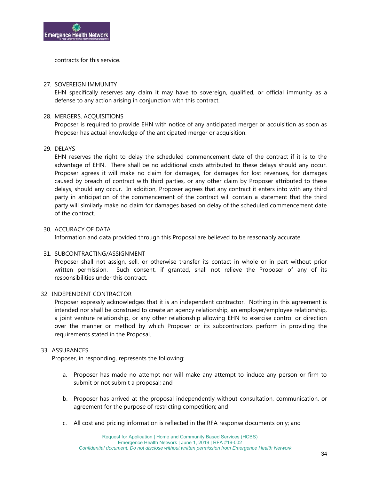

contracts for this service.

#### 27. SOVEREIGN IMMUNITY

EHN specifically reserves any claim it may have to sovereign, qualified, or official immunity as a defense to any action arising in conjunction with this contract.

#### 28. MERGERS, ACQUISITIONS

Proposer is required to provide EHN with notice of any anticipated merger or acquisition as soon as Proposer has actual knowledge of the anticipated merger or acquisition.

#### 29. DELAYS

EHN reserves the right to delay the scheduled commencement date of the contract if it is to the advantage of EHN. There shall be no additional costs attributed to these delays should any occur. Proposer agrees it will make no claim for damages, for damages for lost revenues, for damages caused by breach of contract with third parties, or any other claim by Proposer attributed to these delays, should any occur. In addition, Proposer agrees that any contract it enters into with any third party in anticipation of the commencement of the contract will contain a statement that the third party will similarly make no claim for damages based on delay of the scheduled commencement date of the contract.

#### 30. ACCURACY OF DATA

Information and data provided through this Proposal are believed to be reasonably accurate.

#### 31. SUBCONTRACTING/ASSIGNMENT

Proposer shall not assign, sell, or otherwise transfer its contact in whole or in part without prior written permission. Such consent, if granted, shall not relieve the Proposer of any of its responsibilities under this contract.

#### 32. INDEPENDENT CONTRACTOR

Proposer expressly acknowledges that it is an independent contractor. Nothing in this agreement is intended nor shall be construed to create an agency relationship, an employer/employee relationship, a joint venture relationship, or any other relationship allowing EHN to exercise control or direction over the manner or method by which Proposer or its subcontractors perform in providing the requirements stated in the Proposal.

#### 33. ASSURANCES

Proposer, in responding, represents the following:

- a. Proposer has made no attempt nor will make any attempt to induce any person or firm to submit or not submit a proposal; and
- b. Proposer has arrived at the proposal independently without consultation, communication, or agreement for the purpose of restricting competition; and
- c. All cost and pricing information is reflected in the RFA response documents only; and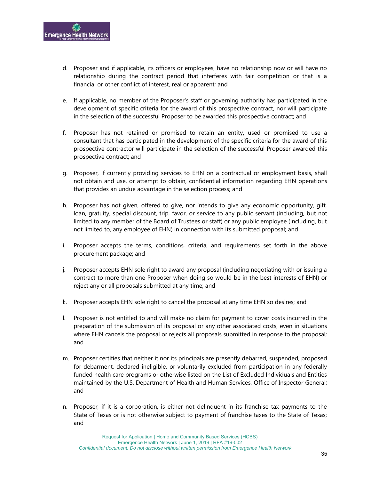

- d. Proposer and if applicable, its officers or employees, have no relationship now or will have no relationship during the contract period that interferes with fair competition or that is a financial or other conflict of interest, real or apparent; and
- e. If applicable, no member of the Proposer's staff or governing authority has participated in the development of specific criteria for the award of this prospective contract, nor will participate in the selection of the successful Proposer to be awarded this prospective contract; and
- f. Proposer has not retained or promised to retain an entity, used or promised to use a consultant that has participated in the development of the specific criteria for the award of this prospective contractor will participate in the selection of the successful Proposer awarded this prospective contract; and
- g. Proposer, if currently providing services to EHN on a contractual or employment basis, shall not obtain and use, or attempt to obtain, confidential information regarding EHN operations that provides an undue advantage in the selection process; and
- h. Proposer has not given, offered to give, nor intends to give any economic opportunity, gift, loan, gratuity, special discount, trip, favor, or service to any public servant (including, but not limited to any member of the Board of Trustees or staff) or any public employee (including, but not limited to, any employee of EHN) in connection with its submitted proposal; and
- i. Proposer accepts the terms, conditions, criteria, and requirements set forth in the above procurement package; and
- j. Proposer accepts EHN sole right to award any proposal (including negotiating with or issuing a contract to more than one Proposer when doing so would be in the best interests of EHN) or reject any or all proposals submitted at any time; and
- k. Proposer accepts EHN sole right to cancel the proposal at any time EHN so desires; and
- l. Proposer is not entitled to and will make no claim for payment to cover costs incurred in the preparation of the submission of its proposal or any other associated costs, even in situations where EHN cancels the proposal or rejects all proposals submitted in response to the proposal; and
- m. Proposer certifies that neither it nor its principals are presently debarred, suspended, proposed for debarment, declared ineligible, or voluntarily excluded from participation in any federally funded health care programs or otherwise listed on the List of Excluded Individuals and Entities maintained by the U.S. Department of Health and Human Services, Office of Inspector General; and
- n. Proposer, if it is a corporation, is either not delinquent in its franchise tax payments to the State of Texas or is not otherwise subject to payment of franchise taxes to the State of Texas; and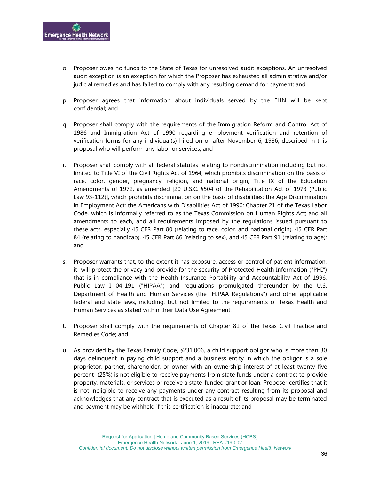

- o. Proposer owes no funds to the State of Texas for unresolved audit exceptions. An unresolved audit exception is an exception for which the Proposer has exhausted all administrative and/or judicial remedies and has failed to comply with any resulting demand for payment; and
- p. Proposer agrees that information about individuals served by the EHN will be kept confidential; and
- q. Proposer shall comply with the requirements of the Immigration Reform and Control Act of 1986 and Immigration Act of 1990 regarding employment verification and retention of verification forms for any individual(s) hired on or after November 6, 1986, described in this proposal who will perform any labor or services; and
- r. Proposer shall comply with all federal statutes relating to nondiscrimination including but not limited to Title VI of the Civil Rights Act of 1964, which prohibits discrimination on the basis of race, color, gender, pregnancy, religion, and national origin; Title IX of the Education Amendments of 1972, as amended [20 U.S.C. §504 of the Rehabilitation Act of 1973 (Public Law 93-112)], which prohibits discrimination on the basis of disabilities; the Age Discrimination in Employment Act; the Americans with Disabilities Act of 1990; Chapter 21 of the Texas Labor Code, which is informally referred to as the Texas Commission on Human Rights Act; and all amendments to each, and all requirements imposed by the regulations issued pursuant to these acts, especially 45 CFR Part 80 (relating to race, color, and national origin), 45 CFR Part 84 (relating to handicap), 45 CFR Part 86 (relating to sex), and 45 CFR Part 91 (relating to age); and
- s. Proposer warrants that, to the extent it has exposure, access or control of patient information, it will protect the privacy and provide for the security of Protected Health Information ("PHI") that is in compliance with the Health Insurance Portability and Accountability Act of 1996, Public Law I 04-191 ("HIPAA") and regulations promulgated thereunder by the U.S. Department of Health and Human Services (the "HIPAA Regulations") and other applicable federal and state laws, including, but not limited to the requirements of Texas Health and Human Services as stated within their Data Use Agreement.
- t. Proposer shall comply with the requirements of Chapter 81 of the Texas Civil Practice and Remedies Code; and
- u. As provided by the Texas Family Code, §231.006, a child support obligor who is more than 30 days delinquent in paying child support and a business entity in which the obligor is a sole proprietor, partner, shareholder, or owner with an ownership interest of at least twenty-five percent (25%) is not eligible to receive payments from state funds under a contract to provide property, materials, or services or receive a state-funded grant or loan. Proposer certifies that it is not ineligible to receive any payments under any contract resulting from its proposal and acknowledges that any contract that is executed as a result of its proposal may be terminated and payment may be withheld if this certification is inaccurate; and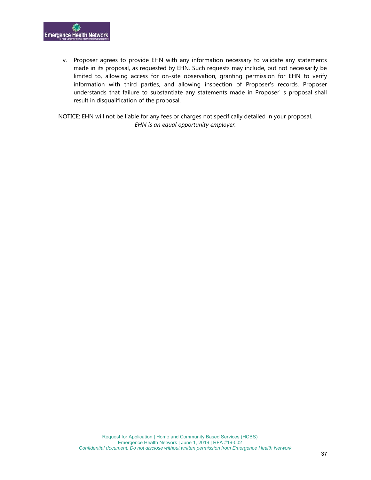

v. Proposer agrees to provide EHN with any information necessary to validate any statements made in its proposal, as requested by EHN. Such requests may include, but not necessarily be limited to, allowing access for on-site observation, granting permission for EHN to verify information with third parties, and allowing inspection of Proposer's records. Proposer understands that failure to substantiate any statements made in Proposer' s proposal shall result in disqualification of the proposal.

NOTICE: EHN will not be liable for any fees or charges not specifically detailed in your proposal. *EHN is an equal opportunity employer.*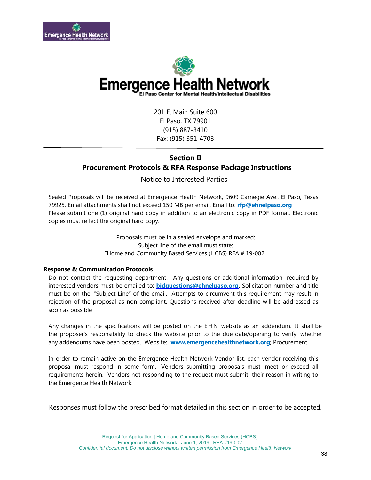



201 E. Main Suite 600 El Paso, TX 79901 (915) 887-3410 Fax: (915) 351-4703

### **Section II Procurement Protocols & RFA Response Package Instructions**

#### Notice to Interested Parties

Sealed Proposals will be received at Emergence Health Network, 9609 Carnegie Ave., El Paso, Texas 79925. Email attachments shall not exceed 150 MB per email. Email to: **[rfp@ehnelpaso.org](mailto:rfp@ehnelpaso.org)** Please submit one (1) original hard copy in addition to an electronic copy in PDF format. Electronic copies must reflect the original hard copy.

> Proposals must be in a sealed envelope and marked: Subject line of the email must state: "Home and Community Based Services (HCBS) RFA # 19-002"

#### **Response & Communication Protocols**

Do not contact the requesting department. Any questions or additional information required by interested vendors must be emailed to: **[bidquestions@ehnelpaso.org.](mailto:bidquestions@ehnelpaso.com)** Solicitation number and title must be on the "Subject Line" of the email. Attempts to circumvent this requirement may result in rejection of the proposal as non-compliant. Questions received after deadline will be addressed as soon as possible

Any changes in the specifications will be posted on the EHN website as an addendum. It shall be the proposer's responsibility to check the website prior to the due date/opening to verify whether any addendums have been posted. Website: **[www.emergencehealthnetwork.org](http://www.emergencehealthnetwork.org/)**; Procurement.

In order to remain active on the Emergence Health Network Vendor list, each vendor receiving this proposal must respond in some form. Vendors submitting proposals must meet or exceed all requirements herein. Vendors not responding to the request must submit their reason in writing to the Emergence Health Network.

Responses must follow the prescribed format detailed in this section in order to be accepted.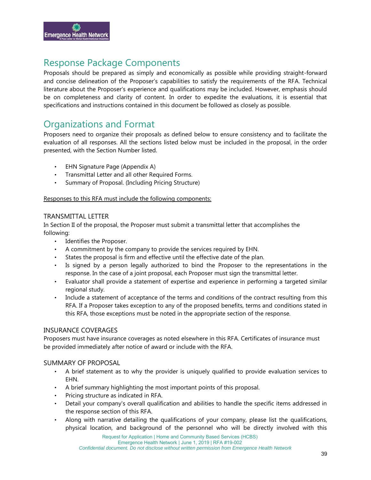

# Response Package Components

Proposals should be prepared as simply and economically as possible while providing straight-forward and concise delineation of the Proposer's capabilities to satisfy the requirements of the RFA. Technical literature about the Proposer's experience and qualifications may be included. However, emphasis should be on completeness and clarity of content. In order to expedite the evaluations, it is essential that specifications and instructions contained in this document be followed as closely as possible.

## Organizations and Format

Proposers need to organize their proposals as defined below to ensure consistency and to facilitate the evaluation of all responses. All the sections listed below must be included in the proposal, in the order presented, with the Section Number listed.

- EHN Signature Page (Appendix A)
- Transmittal Letter and all other Required Forms.
- Summary of Proposal. (Including Pricing Structure)

#### Responses to this RFA must include the following components:

#### TRANSMITTAL LETTER

In Section II of the proposal, the Proposer must submit a transmittal letter that accomplishes the following:

- Identifies the Proposer.
- A commitment by the company to provide the services required by EHN.
- States the proposal is firm and effective until the effective date of the plan.
- Is signed by a person legally authorized to bind the Proposer to the representations in the response. In the case of a joint proposal, each Proposer must sign the transmittal letter.
- Evaluator shall provide a statement of expertise and experience in performing a targeted similar regional study.
- Include a statement of acceptance of the terms and conditions of the contract resulting from this RFA. If a Proposer takes exception to any of the proposed benefits, terms and conditions stated in this RFA, those exceptions must be noted in the appropriate section of the response.

#### INSURANCE COVERAGES

Proposers must have insurance coverages as noted elsewhere in this RFA. Certificates of insurance must be provided immediately after notice of award or include with the RFA.

#### SUMMARY OF PROPOSAL

- A brief statement as to why the provider is uniquely qualified to provide evaluation services to EHN.
- A brief summary highlighting the most important points of this proposal.
- Pricing structure as indicated in RFA.
- Detail your company's overall qualification and abilities to handle the specific items addressed in the response section of this RFA.
- Along with narrative detailing the qualifications of your company, please list the qualifications, physical location, and background of the personnel who will be directly involved with this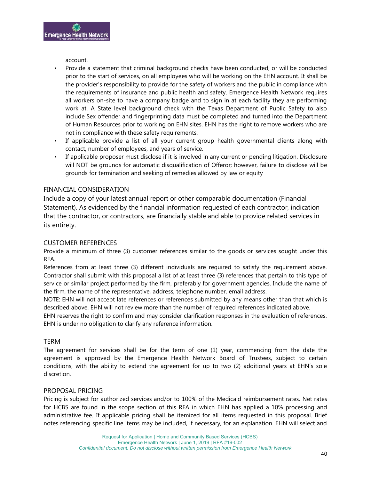account.

- Provide a statement that criminal background checks have been conducted, or will be conducted prior to the start of services, on all employees who will be working on the EHN account. It shall be the provider's responsibility to provide for the safety of workers and the public in compliance with the requirements of insurance and public health and safety. Emergence Health Network requires all workers on-site to have a company badge and to sign in at each facility they are performing work at. A State level background check with the Texas Department of Public Safety to also include Sex offender and fingerprinting data must be completed and turned into the Department of Human Resources prior to working on EHN sites. EHN has the right to remove workers who are not in compliance with these safety requirements.
- If applicable provide a list of all your current group health governmental clients along with contact, number of employees, and years of service.
- If applicable proposer must disclose if it is involved in any current or pending litigation. Disclosure will NOT be grounds for automatic disqualification of Offeror; however, failure to disclose will be grounds for termination and seeking of remedies allowed by law or equity

#### FINANCIAL CONSIDERATION

Include a copy of your latest annual report or other comparable documentation (Financial Statement). As evidenced by the financial information requested of each contractor, indication that the contractor, or contractors, are financially stable and able to provide related services in its entirety.

#### CUSTOMER REFERENCES

Provide a minimum of three (3) customer references similar to the goods or services sought under this RFA.

References from at least three (3) different individuals are required to satisfy the requirement above. Contractor shall submit with this proposal a list of at least three (3) references that pertain to this type of service or similar project performed by the firm, preferably for government agencies. Include the name of the firm, the name of the representative, address, telephone number, email address.

NOTE: EHN will not accept late references or references submitted by any means other than that which is described above. EHN will not review more than the number of required references indicated above.

EHN reserves the right to confirm and may consider clarification responses in the evaluation of references. EHN is under no obligation to clarify any reference information.

#### TERM

The agreement for services shall be for the term of one (1) year, commencing from the date the agreement is approved by the Emergence Health Network Board of Trustees, subject to certain conditions, with the ability to extend the agreement for up to two (2) additional years at EHN's sole discretion.

#### PROPOSAL PRICING

Pricing is subject for authorized services and/or to 100% of the Medicaid reimbursement rates. Net rates for HCBS are found in the scope section of this RFA in which EHN has applied a 10% processing and administrative fee. If applicable pricing shall be itemized for all items requested in this proposal. Brief notes referencing specific line items may be included, if necessary, for an explanation. EHN will select and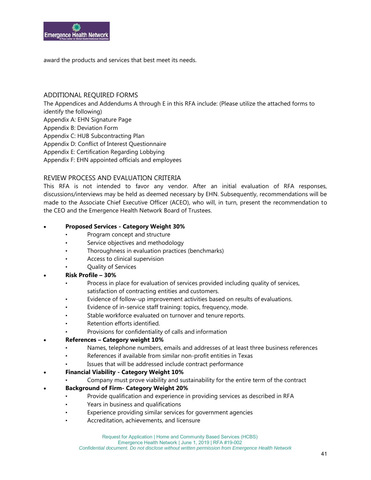

award the products and services that best meet its needs.

#### ADDITIONAL REQUIRED FORMS

The Appendices and Addendums A through E in this RFA include: (Please utilize the attached forms to identify the following) Appendix A: EHN Signature Page Appendix B: Deviation Form Appendix C: HUB Subcontracting Plan Appendix D: Conflict of Interest Questionnaire Appendix E: Certification Regarding Lobbying Appendix F: EHN appointed officials and employees

#### REVIEW PROCESS AND EVALUATION CRITERIA

This RFA is not intended to favor any vendor. After an initial evaluation of RFA responses, discussions/interviews may be held as deemed necessary by EHN. Subsequently, recommendations will be made to the Associate Chief Executive Officer (ACEO), who will, in turn, present the recommendation to the CEO and the Emergence Health Network Board of Trustees.

#### • **Proposed Services - Category Weight 30%**

- Program concept and structure
- Service objectives and methodology
- Thoroughness in evaluation practices (benchmarks)
- Access to clinical supervision
- Quality of Services

#### • **Risk Profile – 30%**

- Process in place for evaluation of services provided including quality of services, satisfaction of contracting entities and customers.
- Evidence of follow-up improvement activities based on results of evaluations.
- Evidence of in-service staff training: topics, frequency, mode.
- Stable workforce evaluated on turnover and tenure reports.
- Retention efforts identified.
- Provisions for confidentiality of calls and information

#### • **References – Category weight 10%**

- Names, telephone numbers, emails and addresses of at least three business references
- References if available from similar non-profit entities in Texas
- Issues that will be addressed include contract performance
- **Financial Viability - Category Weight 10%**
	- Company must prove viability and sustainability for the entire term of the contract

#### • **Background of Firm- Category Weight 20%**

- Provide qualification and experience in providing services as described in RFA
- Years in business and qualifications
- Experience providing similar services for government agencies
- Accreditation, achievements, and licensure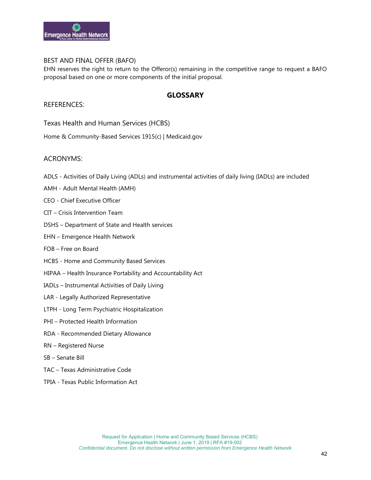

#### BEST AND FINAL OFFER (BAFO)

EHN reserves the right to return to the Offeror(s) remaining in the competitive range to request a BAFO proposal based on one or more components of the initial proposal.

#### **GLOSSARY**

#### REFERENCES:

Texas Health and Human Services (HCBS)

[Home & Community-Based Services 1915\(c\) | Medicaid.gov](https://www.medicaid.gov/medicaid/hcbs/authorities/1915-c/index.html)

#### ACRONYMS:

- ADLS Activities of Daily Living (ADLs) and instrumental activities of daily living (IADLs) are included
- AMH Adult Mental Health (AMH)
- CEO Chief Executive Officer
- CIT Crisis Intervention Team
- DSHS Department of State and Health services
- EHN Emergence Health Network
- FOB Free on Board
- HCBS Home and Community Based Services
- HIPAA Health Insurance Portability and Accountability Act
- IADLs Instrumental Activities of Daily Living
- LAR Legally Authorized Representative
- LTPH Long Term Psychiatric Hospitalization
- PHI Protected Health Information
- RDA Recommended Dietary Allowance
- RN Registered Nurse
- SB Senate Bill
- TAC Texas Administrative Code
- TPIA Texas Public Information Act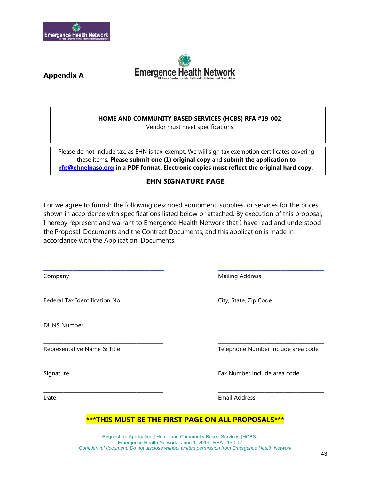



**Appendix A**

#### **HOME AND COMMUNITY BASED SERVICES (HCBS) RFA #19-002**

Vendor must meet specifications

Please do not include tax, as EHN is tax-exempt. We will sign tax exemption certificates covering these items. **Please submit one (1) original copy** and **submit the application to [rfp@ehnelpaso.org](mailto:rfp@ehnelpaso.org) in a PDF format. Electronic copies must reflect the original hard copy.**

#### **EHN SIGNATURE PAGE**

I or we agree to furnish the following described equipment, supplies, or services for the prices shown in accordance with specifications listed below or attached. By execution of this proposal, I hereby represent and warrant to Emergence Health Network that I have read and understood the Proposal Documents and the Contract Documents, and this application is made in accordance with the Application Documents.

\_\_\_\_\_\_\_\_\_\_\_\_\_\_\_\_\_\_\_\_\_\_\_\_\_ \_\_\_\_\_\_\_\_\_\_\_\_\_\_\_\_\_\_\_\_\_\_

\_\_\_\_\_\_\_\_\_\_\_\_\_\_\_\_\_\_\_\_\_\_\_\_\_\_\_\_\_\_\_\_\_\_\_\_ \_\_\_\_\_\_\_\_\_\_\_\_\_\_\_\_\_\_\_\_\_\_\_\_\_\_\_\_\_\_\_\_

\_\_\_\_\_\_\_\_\_\_\_\_\_\_\_\_\_\_\_\_\_\_\_\_\_\_\_\_\_\_\_\_\_\_\_\_ \_\_\_\_\_\_\_\_\_\_\_\_\_\_\_\_\_\_\_\_\_\_\_\_\_\_\_\_\_\_\_\_

\_\_\_\_\_\_\_\_\_\_\_\_\_\_\_\_\_\_\_\_\_\_\_\_\_\_\_\_\_\_\_\_\_\_\_\_ \_\_\_\_\_\_\_\_\_\_\_\_\_\_\_\_\_\_\_\_\_\_\_\_\_\_\_\_\_\_\_\_

\_\_\_\_\_\_\_\_\_\_\_\_\_\_\_\_\_\_\_\_\_\_\_\_\_\_\_\_\_\_\_\_\_\_\_\_ \_\_\_\_\_\_\_\_\_\_\_\_\_\_\_\_\_\_\_\_\_\_\_\_\_\_\_\_\_\_\_\_

\_\_\_\_\_\_\_\_\_\_\_\_\_\_\_\_\_\_\_\_\_\_\_\_\_\_\_\_\_\_\_\_\_\_\_\_ \_\_\_\_\_\_\_\_\_\_\_\_\_\_\_\_\_\_\_\_\_\_\_\_\_\_\_\_\_\_\_\_

Federal Tax Identification No. The Code City, State, Zip Code

DUNS Number

Company **Mailing Address** 

Representative Name & Title Telephone Number include area code

Signature **Fax Number include area code** 

Date Email Address

#### **\*\*\*THIS MUST BE THE FIRST PAGE ON ALL PROPOSALS\*\*\***

Request for Application | Home and Community Based Services (HCBS) Emergence Health Network | June 1, 2019 | RFA #19-002 *Confidential document. Do not disclose without written permission from Emergence Health Network*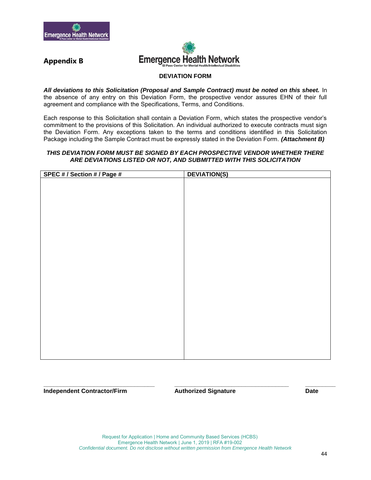



### **Appendix B**

#### **DEVIATION FORM**

All deviations to this Solicitation (Proposal and Sample Contract) must be noted on this sheet. In the absence of any entry on this Deviation Form, the prospective vendor assures EHN of their full agreement and compliance with the Specifications, Terms, and Conditions.

Each response to this Solicitation shall contain a Deviation Form, which states the prospective vendor's commitment to the provisions of this Solicitation. An individual authorized to execute contracts must sign the Deviation Form. Any exceptions taken to the terms and conditions identified in this Solicitation Package including the Sample Contract must be expressly stated in the Deviation Form. *(Attachment B)*

#### *THIS DEVIATION FORM MUST BE SIGNED BY EACH PROSPECTIVE VENDOR WHETHER THERE ARE DEVIATIONS LISTED OR NOT, AND SUBMITTED WITH THIS SOLICITATION*

| <b>DEVIATION(S)</b> |
|---------------------|
|                     |
|                     |
|                     |
|                     |
|                     |
|                     |
|                     |
|                     |
|                     |
|                     |
|                     |
|                     |
|                     |
|                     |
|                     |
|                     |
|                     |
|                     |
|                     |
|                     |
|                     |
|                     |
|                     |
|                     |
|                     |
|                     |

**Independent Contractor/Firm Authorized Signature Date**

**\_\_\_\_\_\_\_\_\_\_\_\_\_\_\_\_\_\_\_\_\_\_\_\_\_\_\_\_\_\_\_\_\_ \_\_\_\_\_\_\_\_\_\_\_\_\_\_\_\_\_\_\_\_\_\_\_\_\_\_\_\_\_\_\_\_\_\_ \_\_\_\_\_\_\_\_\_**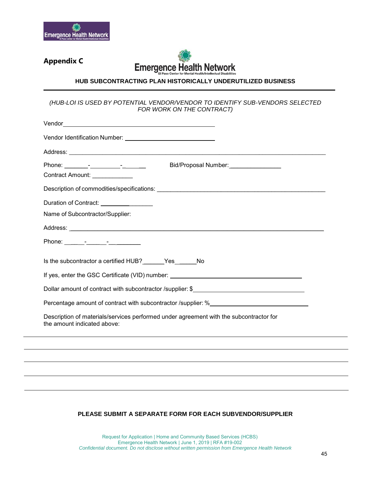

### **Appendix C**



#### **HUB SUBCONTRACTING PLAN HISTORICALLY UNDERUTILIZED BUSINESS**

#### *(HUB-LOI IS USED BY POTENTIAL VENDOR/VENDOR TO IDENTIFY SUB-VENDORS SELECTED FOR WORK ON THE CONTRACT)*

| Bid/Proposal Number: _________________                                                                                |
|-----------------------------------------------------------------------------------------------------------------------|
| Contract Amount: _____________                                                                                        |
|                                                                                                                       |
|                                                                                                                       |
| Name of Subcontractor/Supplier:                                                                                       |
|                                                                                                                       |
|                                                                                                                       |
| Is the subcontractor a certified HUB? _______ Yes _______ No                                                          |
| Dollar amount of contract with subcontractor /supplier: \$                                                            |
|                                                                                                                       |
| Description of materials/services performed under agreement with the subcontractor for<br>the amount indicated above: |
|                                                                                                                       |
|                                                                                                                       |
|                                                                                                                       |
|                                                                                                                       |

#### **PLEASE SUBMIT A SEPARATE FORM FOR EACH SUBVENDOR/SUPPLIER**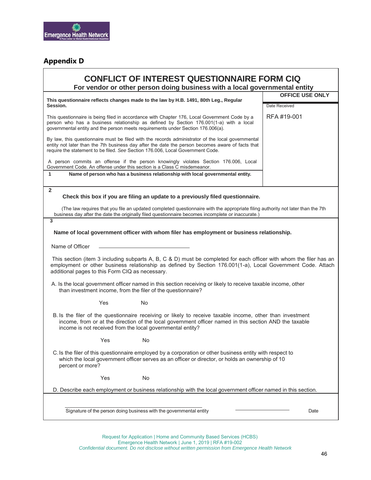

### **Appendix D**

| <b>CONFLICT OF INTEREST QUESTIONNAIRE FORM CIQ</b><br>For vendor or other person doing business with a local governmental entity                                                                                                                                                        |                                         |  |  |  |
|-----------------------------------------------------------------------------------------------------------------------------------------------------------------------------------------------------------------------------------------------------------------------------------------|-----------------------------------------|--|--|--|
| This questionnaire reflects changes made to the law by H.B. 1491, 80th Leg., Regular<br>Session.                                                                                                                                                                                        | <b>OFFICE USE ONLY</b><br>Date Received |  |  |  |
|                                                                                                                                                                                                                                                                                         |                                         |  |  |  |
| This questionnaire is being filed in accordance with Chapter 176, Local Government Code by a<br>person who has a business relationship as defined by Section 176.001(1-a) with a local<br>governmental entity and the person meets requirements under Section 176.006(a).               | RFA #19-001                             |  |  |  |
| By law, this questionnaire must be filed with the records administrator of the local governmental<br>entity not later than the 7th business day after the date the person becomes aware of facts that<br>require the statement to be filed. See Section 176.006, Local Government Code. |                                         |  |  |  |
| A person commits an offense if the person knowingly violates Section 176.006, Local<br>Government Code. An offense under this section is a Class C misdemeanor.                                                                                                                         |                                         |  |  |  |
| 1<br>Name of person who has a business relationship with local governmental entity.                                                                                                                                                                                                     |                                         |  |  |  |
| $\overline{2}$<br>Check this box if you are filing an update to a previously filed questionnaire.                                                                                                                                                                                       |                                         |  |  |  |
| (The law requires that you file an updated completed questionnaire with the appropriate filing authority not later than the 7th<br>business day after the date the originally filed questionnaire becomes incomplete or inaccurate.)                                                    |                                         |  |  |  |
| 3                                                                                                                                                                                                                                                                                       |                                         |  |  |  |
| Name of local government officer with whom filer has employment or business relationship.                                                                                                                                                                                               |                                         |  |  |  |
| Name of Officer                                                                                                                                                                                                                                                                         |                                         |  |  |  |
| This section (item 3 including subparts A, B, C & D) must be completed for each officer with whom the filer has an<br>employment or other business relationship as defined by Section 176.001(1-a), Local Government Code. Attach<br>additional pages to this Form CIQ as necessary.    |                                         |  |  |  |
| A. Is the local government officer named in this section receiving or likely to receive taxable income, other<br>than investment income, from the filer of the questionnaire?                                                                                                           |                                         |  |  |  |
| <b>Yes</b><br>No.                                                                                                                                                                                                                                                                       |                                         |  |  |  |
| B. Is the filer of the questionnaire receiving or likely to receive taxable income, other than investment<br>income, from or at the direction of the local government officer named in this section AND the taxable<br>income is not received from the local governmental entity?       |                                         |  |  |  |
| No<br>Yes                                                                                                                                                                                                                                                                               |                                         |  |  |  |
| C. Is the filer of this questionnaire employed by a corporation or other business entity with respect to<br>which the local government officer serves as an officer or director, or holds an ownership of 10<br>percent or more?                                                        |                                         |  |  |  |
| Yes<br>No                                                                                                                                                                                                                                                                               |                                         |  |  |  |
| D. Describe each employment or business relationship with the local government officer named in this section.                                                                                                                                                                           |                                         |  |  |  |
|                                                                                                                                                                                                                                                                                         |                                         |  |  |  |
| Signature of the person doing business with the governmental entity                                                                                                                                                                                                                     | Date                                    |  |  |  |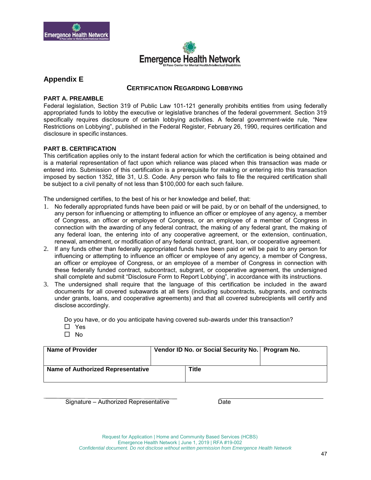



#### **Appendix E**

#### **CERTIFICATION REGARDING LOBBYING**

#### **PART A. PREAMBLE**

Federal legislation, Section 319 of Public Law 101-121 generally prohibits entities from using federally appropriated funds to lobby the executive or legislative branches of the federal government. Section 319 specifically requires disclosure of certain lobbying activities. A federal government-wide rule, "New Restrictions on Lobbying", published in the Federal Register, February 26, 1990, requires certification and disclosure in specific instances.

#### **PART B. CERTIFICATION**

This certification applies only to the instant federal action for which the certification is being obtained and is a material representation of fact upon which reliance was placed when this transaction was made or entered into. Submission of this certification is a prerequisite for making or entering into this transaction imposed by section 1352, title 31, U.S. Code. Any person who fails to file the required certification shall be subject to a civil penalty of not less than \$100,000 for each such failure.

The undersigned certifies, to the best of his or her knowledge and belief, that:

- 1. No federally appropriated funds have been paid or will be paid, by or on behalf of the undersigned, to any person for influencing or attempting to influence an officer or employee of any agency, a member of Congress, an officer or employee of Congress, or an employee of a member of Congress in connection with the awarding of any federal contract, the making of any federal grant, the making of any federal loan, the entering into of any cooperative agreement, or the extension, continuation, renewal, amendment, or modification of any federal contract, grant, loan, or cooperative agreement.
- 2. If any funds other than federally appropriated funds have been paid or will be paid to any person for influencing or attempting to influence an officer or employee of any agency, a member of Congress, an officer or employee of Congress, or an employee of a member of Congress in connection with these federally funded contract, subcontract, subgrant, or cooperative agreement, the undersigned shall complete and submit "Disclosure Form to Report Lobbying", in accordance with its instructions.
- 3. The undersigned shall require that the language of this certification be included in the award documents for all covered subawards at all tiers (including subcontracts, subgrants, and contracts under grants, loans, and cooperative agreements) and that all covered subrecipients will certify and disclose accordingly.

Do you have, or do you anticipate having covered sub-awards under this transaction?

- □ Yes
- $\Box$  No

| <b>Name of Provider</b>           | Vendor ID No. or Social Security No.   Program No. |       |  |
|-----------------------------------|----------------------------------------------------|-------|--|
| Name of Authorized Representative |                                                    | Title |  |

Signature – Authorized Representative